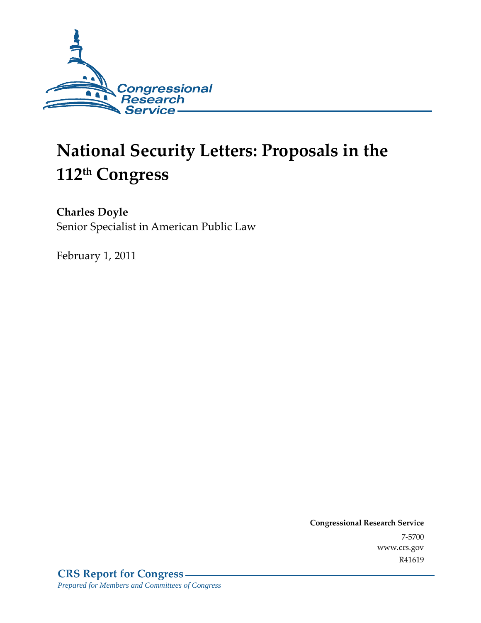

# **National Security Letters: Proposals in the 112th Congress**

**Charles Doyle** 

Senior Specialist in American Public Law

February 1, 2011

**Congressional Research Service** 7-5700 www.crs.gov R41619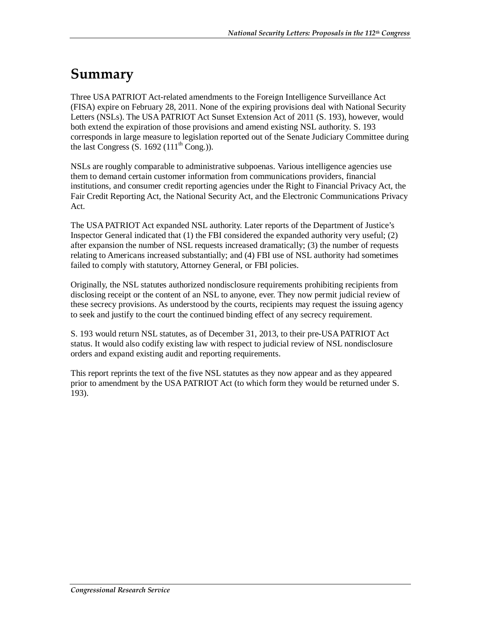## **Summary**

Three USA PATRIOT Act-related amendments to the Foreign Intelligence Surveillance Act (FISA) expire on February 28, 2011. None of the expiring provisions deal with National Security Letters (NSLs). The USA PATRIOT Act Sunset Extension Act of 2011 (S. 193), however, would both extend the expiration of those provisions and amend existing NSL authority. S. 193 corresponds in large measure to legislation reported out of the Senate Judiciary Committee during the last Congress  $(S. 1692 (111<sup>th</sup> Cong.)).$ 

NSLs are roughly comparable to administrative subpoenas. Various intelligence agencies use them to demand certain customer information from communications providers, financial institutions, and consumer credit reporting agencies under the Right to Financial Privacy Act, the Fair Credit Reporting Act, the National Security Act, and the Electronic Communications Privacy Act.

The USA PATRIOT Act expanded NSL authority. Later reports of the Department of Justice's Inspector General indicated that (1) the FBI considered the expanded authority very useful; (2) after expansion the number of NSL requests increased dramatically; (3) the number of requests relating to Americans increased substantially; and (4) FBI use of NSL authority had sometimes failed to comply with statutory, Attorney General, or FBI policies.

Originally, the NSL statutes authorized nondisclosure requirements prohibiting recipients from disclosing receipt or the content of an NSL to anyone, ever. They now permit judicial review of these secrecy provisions. As understood by the courts, recipients may request the issuing agency to seek and justify to the court the continued binding effect of any secrecy requirement.

S. 193 would return NSL statutes, as of December 31, 2013, to their pre-USA PATRIOT Act status. It would also codify existing law with respect to judicial review of NSL nondisclosure orders and expand existing audit and reporting requirements.

This report reprints the text of the five NSL statutes as they now appear and as they appeared prior to amendment by the USA PATRIOT Act (to which form they would be returned under S. 193).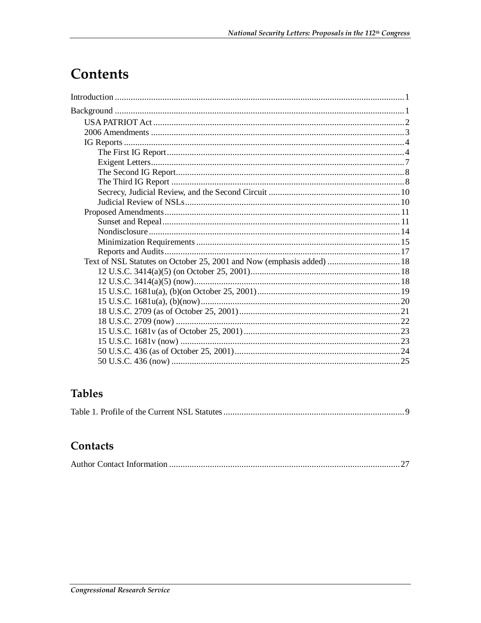## Contents

## **Tables**

|--|--|--|--|--|--|

## Contacts

|--|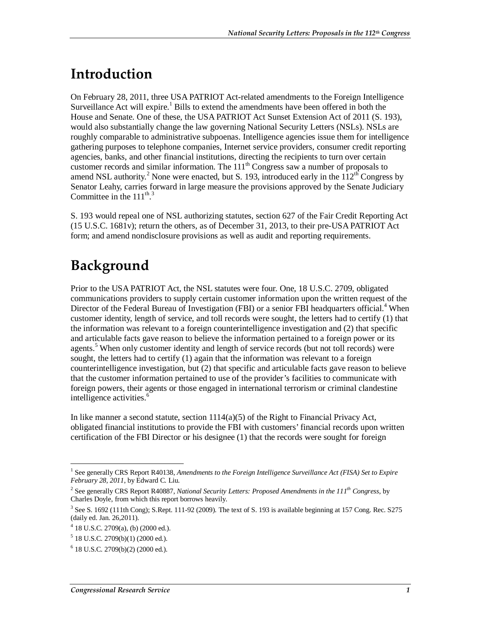## **Introduction**

On February 28, 2011, three USA PATRIOT Act-related amendments to the Foreign Intelligence Surveillance Act will expire.<sup>1</sup> Bills to extend the amendments have been offered in both the House and Senate. One of these, the USA PATRIOT Act Sunset Extension Act of 2011 (S. 193), would also substantially change the law governing National Security Letters (NSLs). NSLs are roughly comparable to administrative subpoenas. Intelligence agencies issue them for intelligence gathering purposes to telephone companies, Internet service providers, consumer credit reporting agencies, banks, and other financial institutions, directing the recipients to turn over certain customer records and similar information. The  $111<sup>th</sup>$  Congress saw a number of proposals to amend NSL authority.<sup>2</sup> None were enacted, but S. 193, introduced early in the  $112^{th}$  Congress by Senator Leahy, carries forward in large measure the provisions approved by the Senate Judiciary Committee in the  $111^{th}$ .<sup>3</sup>

S. 193 would repeal one of NSL authorizing statutes, section 627 of the Fair Credit Reporting Act (15 U.S.C. 1681v); return the others, as of December 31, 2013, to their pre-USA PATRIOT Act form; and amend nondisclosure provisions as well as audit and reporting requirements.

## **Background**

Prior to the USA PATRIOT Act, the NSL statutes were four. One, 18 U.S.C. 2709, obligated communications providers to supply certain customer information upon the written request of the Director of the Federal Bureau of Investigation (FBI) or a senior FBI headquarters official.<sup>4</sup> When customer identity, length of service, and toll records were sought, the letters had to certify (1) that the information was relevant to a foreign counterintelligence investigation and (2) that specific and articulable facts gave reason to believe the information pertained to a foreign power or its agents.<sup>5</sup> When only customer identity and length of service records (but not toll records) were sought, the letters had to certify (1) again that the information was relevant to a foreign counterintelligence investigation, but (2) that specific and articulable facts gave reason to believe that the customer information pertained to use of the provider's facilities to communicate with foreign powers, their agents or those engaged in international terrorism or criminal clandestine intelligence activities.<sup>6</sup>

In like manner a second statute, section  $1114(a)(5)$  of the Right to Financial Privacy Act, obligated financial institutions to provide the FBI with customers' financial records upon written certification of the FBI Director or his designee (1) that the records were sought for foreign

 1 See generally CRS Report R40138, *Amendments to the Foreign Intelligence Surveillance Act (FISA) Set to Expire February 28, 2011*, by Edward C. Liu.

<sup>&</sup>lt;sup>2</sup> See generally CRS Report R40887, *National Security Letters: Proposed Amendments in the 111<sup>th</sup> Congress*, by Charles Doyle, from which this report borrows heavily.

 $3$  See S. 1692 (111th Cong); S.Rept. 111-92 (2009). The text of S. 193 is available beginning at 157 Cong. Rec. S275 (daily ed. Jan. 26,2011).

 $4$  18 U.S.C. 2709(a), (b) (2000 ed.).

 $5$  18 U.S.C. 2709(b)(1) (2000 ed.).

<sup>6</sup> 18 U.S.C. 2709(b)(2) (2000 ed.).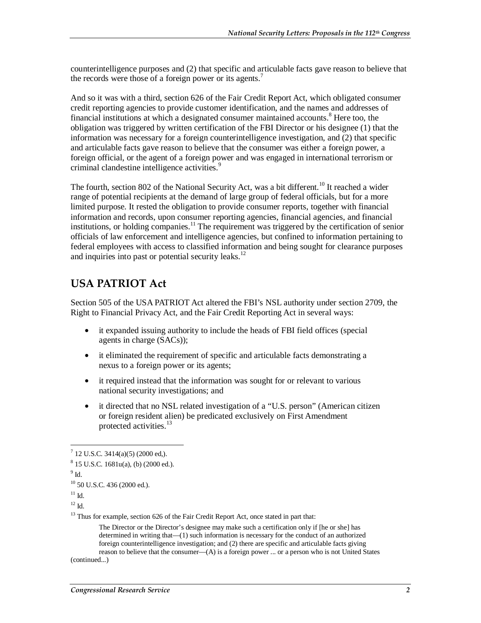counterintelligence purposes and (2) that specific and articulable facts gave reason to believe that the records were those of a foreign power or its agents.<sup>7</sup>

And so it was with a third, section 626 of the Fair Credit Report Act, which obligated consumer credit reporting agencies to provide customer identification, and the names and addresses of financial institutions at which a designated consumer maintained accounts.<sup>8</sup> Here too, the obligation was triggered by written certification of the FBI Director or his designee (1) that the information was necessary for a foreign counterintelligence investigation, and (2) that specific and articulable facts gave reason to believe that the consumer was either a foreign power, a foreign official, or the agent of a foreign power and was engaged in international terrorism or criminal clandestine intelligence activities.<sup>9</sup>

The fourth, section 802 of the National Security Act, was a bit different.<sup>10</sup> It reached a wider range of potential recipients at the demand of large group of federal officials, but for a more limited purpose. It rested the obligation to provide consumer reports, together with financial information and records, upon consumer reporting agencies, financial agencies, and financial institutions, or holding companies.<sup>11</sup> The requirement was triggered by the certification of senior officials of law enforcement and intelligence agencies, but confined to information pertaining to federal employees with access to classified information and being sought for clearance purposes and inquiries into past or potential security leaks. $^{12}$ 

### **USA PATRIOT Act**

Section 505 of the USA PATRIOT Act altered the FBI's NSL authority under section 2709, the Right to Financial Privacy Act, and the Fair Credit Reporting Act in several ways:

- it expanded issuing authority to include the heads of FBI field offices (special agents in charge (SACs));
- it eliminated the requirement of specific and articulable facts demonstrating a nexus to a foreign power or its agents;
- it required instead that the information was sought for or relevant to various national security investigations; and
- it directed that no NSL related investigation of a "U.S. person" (American citizen or foreign resident alien) be predicated exclusively on First Amendment protected activities.<sup>13</sup>

 $^9$  Id.

-

```
10 50 U.S.C. 436 (2000 ed.).
```
The Director or the Director's designee may make such a certification only if [he or she] has determined in writing that—(1) such information is necessary for the conduct of an authorized foreign counterintelligence investigation; and (2) there are specific and articulable facts giving reason to believe that the consumer—(A) is a foreign power ... or a person who is not United States

(continued...)

 $7$  12 U.S.C. 3414(a)(5) (2000 ed,).

<sup>8</sup> 15 U.S.C. 1681u(a), (b) (2000 ed.).

 $11$  Id.

 $12$  Id.

<sup>&</sup>lt;sup>13</sup> Thus for example, section 626 of the Fair Credit Report Act, once stated in part that: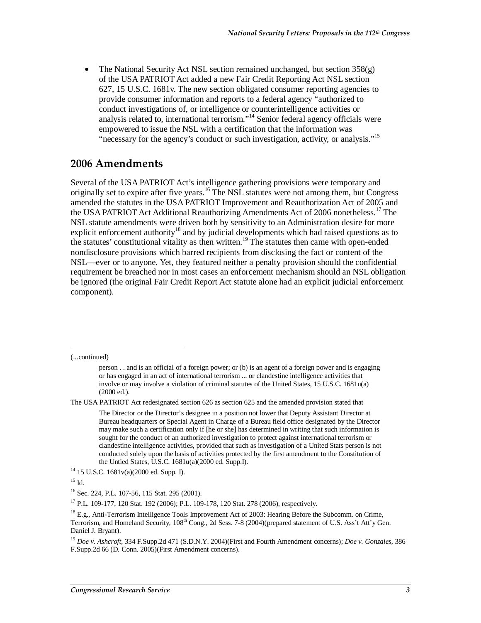The National Security Act NSL section remained unchanged, but section 358(g) of the USA PATRIOT Act added a new Fair Credit Reporting Act NSL section 627, 15 U.S.C. 1681v. The new section obligated consumer reporting agencies to provide consumer information and reports to a federal agency "authorized to conduct investigations of, or intelligence or counterintelligence activities or analysis related to, international terrorism."14 Senior federal agency officials were empowered to issue the NSL with a certification that the information was "necessary for the agency's conduct or such investigation, activity, or analysis."<sup>15</sup>

#### **2006 Amendments**

Several of the USA PATRIOT Act's intelligence gathering provisions were temporary and originally set to expire after five years.<sup>16</sup> The NSL statutes were not among them, but Congress amended the statutes in the USA PATRIOT Improvement and Reauthorization Act of 2005 and the USA PATRIOT Act Additional Reauthorizing Amendments Act of 2006 nonetheless.<sup>17</sup> The NSL statute amendments were driven both by sensitivity to an Administration desire for more explicit enforcement authority<sup>18</sup> and by judicial developments which had raised questions as to the statutes' constitutional vitality as then written.<sup>19</sup> The statutes then came with open-ended nondisclosure provisions which barred recipients from disclosing the fact or content of the NSL—ever or to anyone. Yet, they featured neither a penalty provision should the confidential requirement be breached nor in most cases an enforcement mechanism should an NSL obligation be ignored (the original Fair Credit Report Act statute alone had an explicit judicial enforcement component).

(...continued)

1

The USA PATRIOT Act redesignated section 626 as section 625 and the amended provision stated that

person . . and is an official of a foreign power; or (b) is an agent of a foreign power and is engaging or has engaged in an act of international terrorism ... or clandestine intelligence activities that involve or may involve a violation of criminal statutes of the United States, 15 U.S.C. 1681u(a) (2000 ed.).

The Director or the Director's designee in a position not lower that Deputy Assistant Director at Bureau headquarters or Special Agent in Charge of a Bureau field office designated by the Director may make such a certification only if [he or she] has determined in writing that such information is sought for the conduct of an authorized investigation to protect against international terrorism or clandestine intelligence activities, provided that such as investigation of a United Stats person is not conducted solely upon the basis of activities protected by the first amendment to the Constitution of the Untied States, U.S.C. 1681u(a)(2000 ed. Supp.I).<br><sup>14</sup> 15 U.S.C. 1681v(a)(2000 ed. Supp. I).

 $15$  Id.

<sup>16</sup> Sec. 224, P.L. 107-56, 115 Stat. 295 (2001).

<sup>&</sup>lt;sup>17</sup> P.L. 109-177, 120 Stat. 192 (2006); P.L. 109-178, 120 Stat. 278 (2006), respectively.

<sup>&</sup>lt;sup>18</sup> E.g., Anti-Terrorism Intelligence Tools Improvement Act of 2003: Hearing Before the Subcomm. on Crime, Terrorism, and Homeland Security, 108<sup>th</sup> Cong., 2d Sess. 7-8 (2004)(prepared statement of U.S. Ass't Att'y Gen. Daniel J. Bryant).

<sup>19</sup> *Doe v. Ashcroft,* 334 F.Supp.2d 471 (S.D.N.Y. 2004)(First and Fourth Amendment concerns); *Doe v. Gonzales,* 386 F.Supp.2d 66 (D. Conn. 2005)(First Amendment concerns).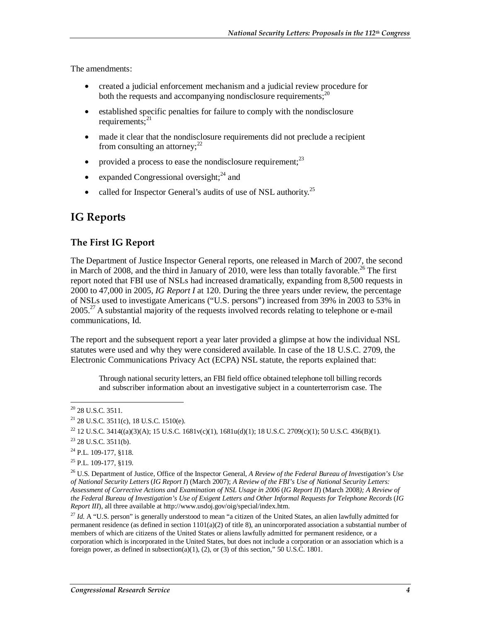The amendments:

- created a judicial enforcement mechanism and a judicial review procedure for both the requests and accompanying nondisclosure requirements; $^{20}$
- established specific penalties for failure to comply with the nondisclosure requirements; $^{21}$
- made it clear that the nondisclosure requirements did not preclude a recipient from consulting an attorney;  $2^2$
- provided a process to ease the nondisclosure requirement; $^{23}$
- expanded Congressional oversight;  $^{24}$  and
- called for Inspector General's audits of use of NSL authority.<sup>25</sup>

### **IG Reports**

#### **The First IG Report**

The Department of Justice Inspector General reports, one released in March of 2007, the second in March of 2008, and the third in January of 2010, were less than totally favorable.<sup>26</sup> The first report noted that FBI use of NSLs had increased dramatically, expanding from 8,500 requests in 2000 to 47,000 in 2005, *IG Report I* at 120. During the three years under review, the percentage of NSLs used to investigate Americans ("U.S. persons") increased from 39% in 2003 to 53% in  $2005<sup>27</sup>$  A substantial majority of the requests involved records relating to telephone or e-mail communications, Id.

The report and the subsequent report a year later provided a glimpse at how the individual NSL statutes were used and why they were considered available. In case of the 18 U.S.C. 2709, the Electronic Communications Privacy Act (ECPA) NSL statute, the reports explained that:

Through national security letters, an FBI field office obtained telephone toll billing records and subscriber information about an investigative subject in a counterterrorism case. The

<sup>27</sup> *Id.* A "U.S. person" is generally understood to mean "a citizen of the United States, an alien lawfully admitted for permanent residence (as defined in section 1101(a)(2) of title 8), an unincorporated association a substantial number of members of which are citizens of the United States or aliens lawfully admitted for permanent residence, or a corporation which is incorporated in the United States, but does not include a corporation or an association which is a foreign power, as defined in subsection(a)(1), (2), or (3) of this section," 50 U.S.C. 1801.

<sup>-</sup> $20$  28 U.S.C. 3511.

 $21$  28 U.S.C. 3511(c), 18 U.S.C. 1510(e).

<sup>&</sup>lt;sup>22</sup> 12 U.S.C. 3414((a)(3)(A); 15 U.S.C. 1681v(c)(1), 1681u(d)(1); 18 U.S.C. 2709(c)(1); 50 U.S.C. 436(B)(1).

 $23$  28 U.S.C. 3511(b).

<sup>&</sup>lt;sup>24</sup> P.L. 109-177, §118.

<sup>&</sup>lt;sup>25</sup> P.L. 109-177, §119.

<sup>26</sup> U.S. Department of Justice, Office of the Inspector General, *A Review of the Federal Bureau of Investigation's Use of National Security Letters* (*IG Report I*) (March 2007); *A Review of the FBI's Use of National Security Letters: Assessment of Corrective Actions and Examination of NSL Usage in 2006* (*IG Report II*) (March 2008*); A Review of the Federal Bureau of Investigation's Use of Exigent Letters and Other Informal Requests for Telephone Records* (*IG Report III*), all three available at http://www.usdoj.gov/oig/special/index.htm.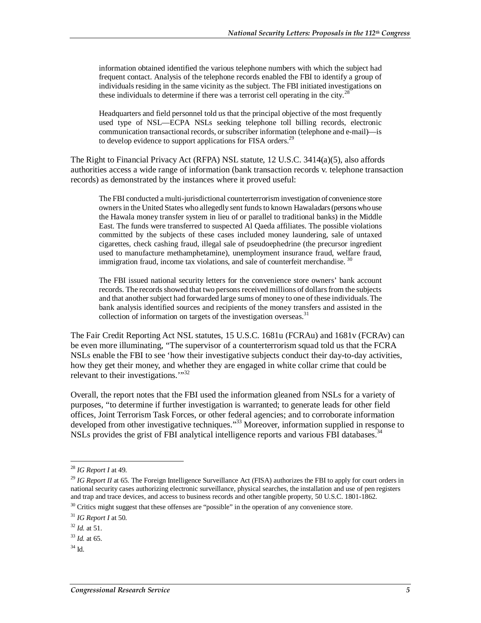information obtained identified the various telephone numbers with which the subject had frequent contact. Analysis of the telephone records enabled the FBI to identify a group of individuals residing in the same vicinity as the subject. The FBI initiated investigations on these individuals to determine if there was a terrorist cell operating in the city.<sup>28</sup>

Headquarters and field personnel told us that the principal objective of the most frequently used type of NSL—ECPA NSLs seeking telephone toll billing records, electronic communication transactional records, or subscriber information (telephone and e-mail)—is to develop evidence to support applications for FISA orders.<sup>29</sup>

The Right to Financial Privacy Act (RFPA) NSL statute, 12 U.S.C. 3414(a)(5), also affords authorities access a wide range of information (bank transaction records v. telephone transaction records) as demonstrated by the instances where it proved useful:

The FBI conducted a multi-jurisdictional counterterrorism investigation of convenience store owners in the United States who allegedly sent funds to known Hawaladars (persons who use the Hawala money transfer system in lieu of or parallel to traditional banks) in the Middle East. The funds were transferred to suspected Al Qaeda affiliates. The possible violations committed by the subjects of these cases included money laundering, sale of untaxed cigarettes, check cashing fraud, illegal sale of pseudoephedrine (the precursor ingredient used to manufacture methamphetamine), unemployment insurance fraud, welfare fraud, immigration fraud, income tax violations, and sale of counterfeit merchandise.  $30$ 

The FBI issued national security letters for the convenience store owners' bank account records. The records showed that two persons received millions of dollars from the subjects and that another subject had forwarded large sums of money to one of these individuals. The bank analysis identified sources and recipients of the money transfers and assisted in the collection of information on targets of the investigation overseas.<sup>31</sup>

The Fair Credit Reporting Act NSL statutes, 15 U.S.C. 1681u (FCRAu) and 1681v (FCRAv) can be even more illuminating, "The supervisor of a counterterrorism squad told us that the FCRA NSLs enable the FBI to see 'how their investigative subjects conduct their day-to-day activities, how they get their money, and whether they are engaged in white collar crime that could be relevant to their investigations. $\mathbb{R}^{32}$ 

Overall, the report notes that the FBI used the information gleaned from NSLs for a variety of purposes, "to determine if further investigation is warranted; to generate leads for other field offices, Joint Terrorism Task Forces, or other federal agencies; and to corroborate information developed from other investigative techniques."<sup>33</sup> Moreover, information supplied in response to NSLs provides the grist of FBI analytical intelligence reports and various FBI databases.<sup>34</sup>

-

<sup>28</sup> *IG Report I* at 49.

<sup>&</sup>lt;sup>29</sup> *IG Report II* at 65. The Foreign Intelligence Surveillance Act (FISA) authorizes the FBI to apply for court orders in national security cases authorizing electronic surveillance, physical searches, the installation and use of pen registers and trap and trace devices, and access to business records and other tangible property, 50 U.S.C. 1801-1862.

<sup>&</sup>lt;sup>30</sup> Critics might suggest that these offenses are "possible" in the operation of any convenience store.

<sup>31</sup> *IG Report I* at 50.

<sup>32</sup> *Id.* at 51.

 $33$  *Id.* at 65.

 $34$  Id.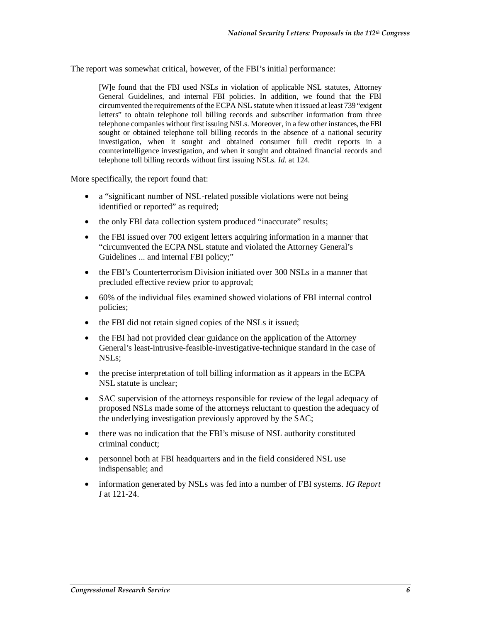The report was somewhat critical, however, of the FBI's initial performance:

[W]e found that the FBI used NSLs in violation of applicable NSL statutes, Attorney General Guidelines, and internal FBI policies. In addition, we found that the FBI circumvented the requirements of the ECPA NSL statute when it issued at least 739 "exigent letters" to obtain telephone toll billing records and subscriber information from three telephone companies without first issuing NSLs. Moreover, in a few other instances, the FBI sought or obtained telephone toll billing records in the absence of a national security investigation, when it sought and obtained consumer full credit reports in a counterintelligence investigation, and when it sought and obtained financial records and telephone toll billing records without first issuing NSLs. *Id*. at 124.

More specifically, the report found that:

- a "significant number of NSL-related possible violations were not being identified or reported" as required;
- the only FBI data collection system produced "inaccurate" results;
- the FBI issued over 700 exigent letters acquiring information in a manner that "circumvented the ECPA NSL statute and violated the Attorney General's Guidelines ... and internal FBI policy;"
- the FBI's Counterterrorism Division initiated over 300 NSLs in a manner that precluded effective review prior to approval;
- 60% of the individual files examined showed violations of FBI internal control policies;
- the FBI did not retain signed copies of the NSLs it issued;
- the FBI had not provided clear guidance on the application of the Attorney General's least-intrusive-feasible-investigative-technique standard in the case of NSLs;
- the precise interpretation of toll billing information as it appears in the ECPA NSL statute is unclear;
- SAC supervision of the attorneys responsible for review of the legal adequacy of proposed NSLs made some of the attorneys reluctant to question the adequacy of the underlying investigation previously approved by the SAC;
- there was no indication that the FBI's misuse of NSL authority constituted criminal conduct;
- personnel both at FBI headquarters and in the field considered NSL use indispensable; and
- information generated by NSLs was fed into a number of FBI systems. *IG Report I* at 121-24.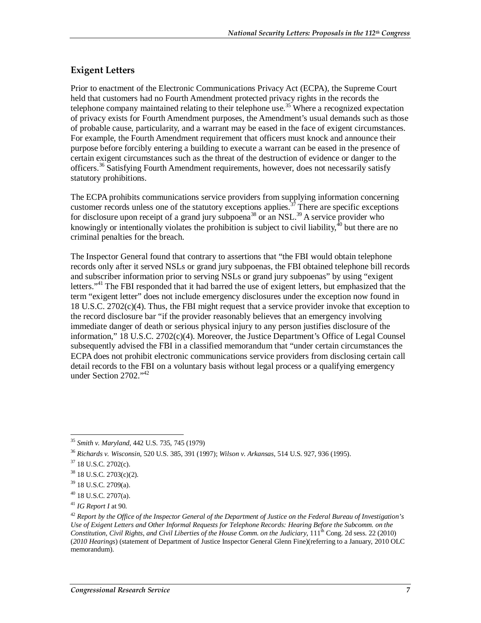#### **Exigent Letters**

Prior to enactment of the Electronic Communications Privacy Act (ECPA), the Supreme Court held that customers had no Fourth Amendment protected privacy rights in the records the telephone company maintained relating to their telephone use.<sup>35</sup> Where a recognized expectation of privacy exists for Fourth Amendment purposes, the Amendment's usual demands such as those of probable cause, particularity, and a warrant may be eased in the face of exigent circumstances. For example, the Fourth Amendment requirement that officers must knock and announce their purpose before forcibly entering a building to execute a warrant can be eased in the presence of certain exigent circumstances such as the threat of the destruction of evidence or danger to the officers.<sup>36</sup> Satisfying Fourth Amendment requirements, however, does not necessarily satisfy statutory prohibitions.

The ECPA prohibits communications service providers from supplying information concerning customer records unless one of the statutory exceptions applies.<sup>37</sup> There are specific exceptions for disclosure upon receipt of a grand jury subpoena<sup>38</sup> or an NSL.<sup>39</sup> A service provider who knowingly or intentionally violates the prohibition is subject to civil liability,  $^{40}$  but there are no criminal penalties for the breach.

The Inspector General found that contrary to assertions that "the FBI would obtain telephone records only after it served NSLs or grand jury subpoenas, the FBI obtained telephone bill records and subscriber information prior to serving NSLs or grand jury subpoenas" by using "exigent letters."<sup>41</sup> The FBI responded that it had barred the use of exigent letters, but emphasized that the term "exigent letter" does not include emergency disclosures under the exception now found in 18 U.S.C. 2702(c)(4). Thus, the FBI might request that a service provider invoke that exception to the record disclosure bar "if the provider reasonably believes that an emergency involving immediate danger of death or serious physical injury to any person justifies disclosure of the information," 18 U.S.C. 2702(c)(4). Moreover, the Justice Department's Office of Legal Counsel subsequently advised the FBI in a classified memorandum that "under certain circumstances the ECPA does not prohibit electronic communications service providers from disclosing certain call detail records to the FBI on a voluntary basis without legal process or a qualifying emergency under Section 2702."<sup>42</sup>

<sup>-</sup><sup>35</sup> *Smith v. Maryland*, 442 U.S. 735, 745 (1979)

<sup>36</sup> *Richards v. Wisconsin*, 520 U.S. 385, 391 (1997); *Wilson v. Arkansas*, 514 U.S. 927, 936 (1995).

<sup>37 18</sup> U.S.C. 2702(c).

<sup>38 18</sup> U.S.C. 2703(c)(2).

<sup>39 18</sup> U.S.C. 2709(a).

<sup>40 18</sup> U.S.C. 2707(a).

<sup>41</sup> *IG Report I* at 90.

<sup>42</sup> *Report by the Office of the Inspector General of the Department of Justice on the Federal Bureau of Investigation's Use of Exigent Letters and Other Informal Requests for Telephone Records: Hearing Before the Subcomm. on the Constitution, Civil Rights, and Civil Liberties of the House Comm. on the Judiciary*, 111<sup>th</sup> Cong. 2d sess. 22 (2010) (*2010 Hearings*) (statement of Department of Justice Inspector General Glenn Fine)(referring to a January, 2010 OLC memorandum).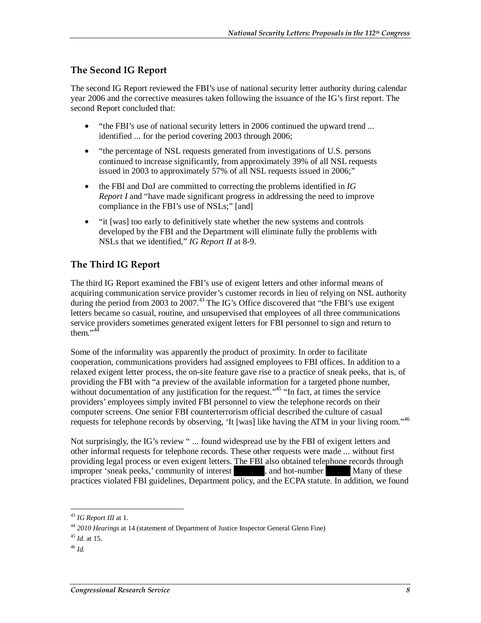#### **The Second IG Report**

The second IG Report reviewed the FBI's use of national security letter authority during calendar year 2006 and the corrective measures taken following the issuance of the IG's first report. The second Report concluded that:

- "the FBI's use of national security letters in 2006 continued the upward trend ... identified ... for the period covering 2003 through 2006;
- "the percentage of NSL requests generated from investigations of U.S. persons continued to increase significantly, from approximately 39% of all NSL requests issued in 2003 to approximately 57% of all NSL requests issued in 2006;"
- the FBI and DoJ are committed to correcting the problems identified in *IG Report I* and "have made significant progress in addressing the need to improve compliance in the FBI's use of NSLs;" [and]
- "it [was] too early to definitively state whether the new systems and controls developed by the FBI and the Department will eliminate fully the problems with NSLs that we identified," *IG Report II* at 8-9.

#### **The Third IG Report**

The third IG Report examined the FBI's use of exigent letters and other informal means of acquiring communication service provider's customer records in lieu of relying on NSL authority during the period from 2003 to  $2007<sup>43</sup>$ . The IG's Office discovered that "the FBI's use exigent" letters became so casual, routine, and unsupervised that employees of all three communications service providers sometimes generated exigent letters for FBI personnel to sign and return to them." $44$ 

Some of the informality was apparently the product of proximity. In order to facilitate cooperation, communications providers had assigned employees to FBI offices. In addition to a relaxed exigent letter process, the on-site feature gave rise to a practice of sneak peeks, that is, of providing the FBI with "a preview of the available information for a targeted phone number, without documentation of any justification for the request.<sup> $145$ </sup> "In fact, at times the service providers' employees simply invited FBI personnel to view the telephone records on their computer screens. One senior FBI counterterrorism official described the culture of casual requests for telephone records by observing, 'It [was] like having the ATM in your living room."46

Not surprisingly, the IG's review " ... found widespread use by the FBI of exigent letters and other informal requests for telephone records. These other requests were made ... without first providing legal process or even exigent letters. The FBI also obtained telephone records through improper 'sneak peeks,' community of interest and hot-number **Example 2** Many of these practices violated FBI guidelines, Department policy, and the ECPA statute. In addition, we found

<sup>45</sup> *Id.* at 15.

<sup>46</sup> *Id.* 

-

<sup>43</sup> *IG Report III* at 1.

<sup>44</sup> *2010 Hearings* at 14 (statement of Department of Justice Inspector General Glenn Fine)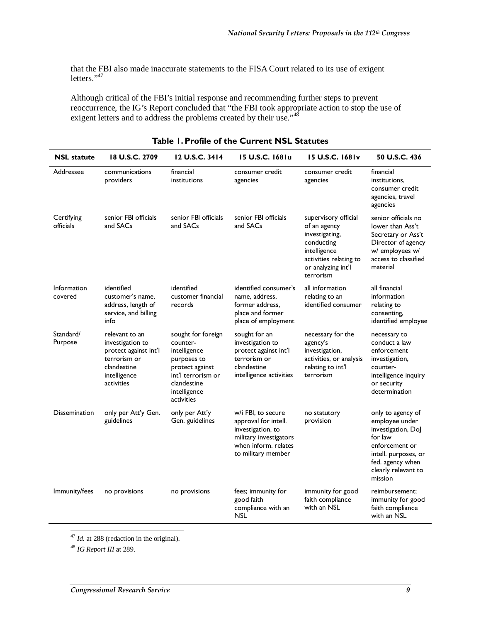that the FBI also made inaccurate statements to the FISA Court related to its use of exigent letters."<sup>47</sup>

Although critical of the FBI's initial response and recommending further steps to prevent reoccurrence, the IG's Report concluded that "the FBI took appropriate action to stop the use of exigent letters and to address the problems created by their use."<sup>48</sup>

| <b>NSL</b> statute      | 18 U.S.C. 2709                                                                                                           | 12 U.S.C. 3414                                                                                                                                      | 15 U.S.C. 1681u                                                                                                                         | 15 U.S.C. 1681v                                                                                                                                   | 50 U.S.C. 436                                                                                                                                                        |
|-------------------------|--------------------------------------------------------------------------------------------------------------------------|-----------------------------------------------------------------------------------------------------------------------------------------------------|-----------------------------------------------------------------------------------------------------------------------------------------|---------------------------------------------------------------------------------------------------------------------------------------------------|----------------------------------------------------------------------------------------------------------------------------------------------------------------------|
| Addressee               | communications<br>providers                                                                                              | financial<br>institutions                                                                                                                           | consumer credit<br>agencies                                                                                                             | consumer credit<br>agencies                                                                                                                       | financial<br>institutions,<br>consumer credit<br>agencies, travel<br>agencies                                                                                        |
| Certifying<br>officials | senior FBI officials<br>and SACs                                                                                         | senior FBI officials<br>and SACs                                                                                                                    | senior FBI officials<br>and SACs                                                                                                        | supervisory official<br>of an agency<br>investigating,<br>conducting<br>intelligence<br>activities relating to<br>or analyzing int'l<br>terrorism | senior officials no<br>lower than Ass't<br>Secretary or Ass't<br>Director of agency<br>w/ employees w/<br>access to classified<br>material                           |
| Information<br>covered  | identified<br>customer's name,<br>address, length of<br>service, and billing<br>info                                     | identified<br>customer financial<br>records                                                                                                         | identified consumer's<br>name, address,<br>former address,<br>place and former<br>place of employment                                   | all information<br>relating to an<br>identified consumer                                                                                          | all financial<br>information<br>relating to<br>consenting,<br>identified employee                                                                                    |
| Standard/<br>Purpose    | relevant to an<br>investigation to<br>protect against int'l<br>terrorism or<br>clandestine<br>intelligence<br>activities | sought for foreign<br>counter-<br>intelligence<br>purposes to<br>protect against<br>int'l terrorism or<br>clandestine<br>intelligence<br>activities | sought for an<br>investigation to<br>protect against int'l<br>terrorism or<br>clandestine<br>intelligence activities                    | necessary for the<br>agency's<br>investigation,<br>activities, or analysis<br>relating to int'l<br>terrorism                                      | necessary to<br>conduct a law<br>enforcement<br>investigation,<br>counter-<br>intelligence inquiry<br>or security<br>determination                                   |
| Dissemination           | only per Att'y Gen.<br>guidelines                                                                                        | only per Att'y<br>Gen. guidelines                                                                                                                   | w/i FBI, to secure<br>approval for intell.<br>investigation, to<br>military investigators<br>when inform, relates<br>to military member | no statutory<br>provision                                                                                                                         | only to agency of<br>employee under<br>investigation, DoJ<br>for law<br>enforcement or<br>intell. purposes, or<br>fed. agency when<br>clearly relevant to<br>mission |
| Immunity/fees           | no provisions                                                                                                            | no provisions                                                                                                                                       | fees; immunity for<br>good faith<br>compliance with an<br><b>NSL</b>                                                                    | immunity for good<br>faith compliance<br>with an NSL                                                                                              | reimbursement:<br>immunity for good<br>faith compliance<br>with an NSL                                                                                               |

#### **Table 1. Profile of the Current NSL Statutes**

 $\frac{1}{2}$ <sup>47</sup> *Id.* at 288 (redaction in the original).

<sup>48</sup> *IG Report III* at 289.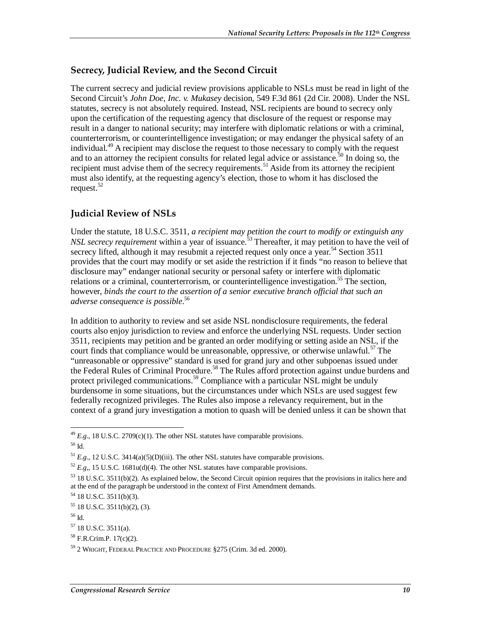#### **Secrecy, Judicial Review, and the Second Circuit**

The current secrecy and judicial review provisions applicable to NSLs must be read in light of the Second Circuit's *John Doe, Inc. v. Mukasey* decision, 549 F.3d 861 (2d Cir. 2008). Under the NSL statutes, secrecy is not absolutely required. Instead, NSL recipients are bound to secrecy only upon the certification of the requesting agency that disclosure of the request or response may result in a danger to national security; may interfere with diplomatic relations or with a criminal, counterterrorism, or counterintelligence investigation; or may endanger the physical safety of an individual.<sup>49</sup> A recipient may disclose the request to those necessary to comply with the request and to an attorney the recipient consults for related legal advice or assistance.<sup>50</sup> In doing so, the recipient must advise them of the secrecy requirements.<sup>51</sup> Aside from its attorney the recipient must also identify, at the requesting agency's election, those to whom it has disclosed the request.<sup>52</sup>

#### **Judicial Review of NSLs**

Under the statute, 18 U.S.C. 3511, *a recipient may petition the court to modify or extinguish any NSL secrecy requirement* within a year of issuance.<sup>53</sup> Thereafter, it may petition to have the veil of secrecy lifted, although it may resubmit a rejected request only once a year.<sup>54</sup> Section  $3511$ provides that the court may modify or set aside the restriction if it finds "no reason to believe that disclosure may" endanger national security or personal safety or interfere with diplomatic relations or a criminal, counterterrorism, or counterintelligence investigation.<sup>55</sup> The section, however, *binds the court to the assertion of a senior executive branch official that such an adverse consequence is possible*. 56

In addition to authority to review and set aside NSL nondisclosure requirements, the federal courts also enjoy jurisdiction to review and enforce the underlying NSL requests. Under section 3511, recipients may petition and be granted an order modifying or setting aside an NSL, if the court finds that compliance would be unreasonable, oppressive, or otherwise unlawful.<sup>57</sup> The "unreasonable or oppressive" standard is used for grand jury and other subpoenas issued under the Federal Rules of Criminal Procedure.<sup>58</sup> The Rules afford protection against undue burdens and protect privileged communications.<sup>59</sup> Compliance with a particular NSL might be unduly burdensome in some situations, but the circumstances under which NSLs are used suggest few federally recognized privileges. The Rules also impose a relevancy requirement, but in the context of a grand jury investigation a motion to quash will be denied unless it can be shown that

 $57$  18 U.S.C. 3511(a).

<sup>&</sup>lt;u>.</u>  $^{49}$  *E.g.*, 18 U.S.C. 2709(c)(1). The other NSL statutes have comparable provisions.

 $^{50}$  Id.

<sup>&</sup>lt;sup>51</sup> *E.g.*, 12 U.S.C. 3414(a)(5)(D)(iii). The other NSL statutes have comparable provisions.<br><sup>52</sup> *E.g.*, 15 U.S.C. 1681u(d)(4). The other NSL statutes have comparable provisions.

<sup>53 18</sup> U.S.C. 3511(b)(2). As explained below, the Second Circuit opinion requires that the provisions in italics here and at the end of the paragraph be understood in the context of First Amendment demands.

 $54$  18 U.S.C. 3511(b)(3).

 $55$  18 U.S.C. 3511(b)(2), (3).

<sup>56</sup> Id.

<sup>58</sup> F.R.Crim.P. 17(c)(2).

<sup>59 2</sup> WRIGHT, FEDERAL PRACTICE AND PROCEDURE §275 (Crim. 3d ed. 2000).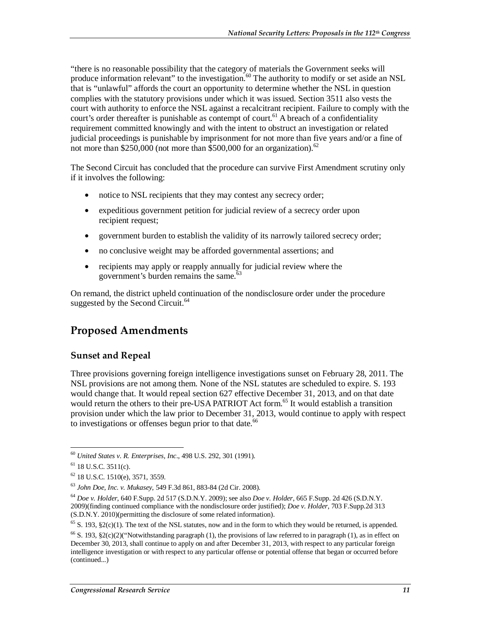"there is no reasonable possibility that the category of materials the Government seeks will produce information relevant" to the investigation.<sup>60</sup> The authority to modify or set aside an NSL that is "unlawful" affords the court an opportunity to determine whether the NSL in question complies with the statutory provisions under which it was issued. Section 3511 also vests the court with authority to enforce the NSL against a recalcitrant recipient. Failure to comply with the court's order thereafter is punishable as contempt of court.<sup>61</sup> A breach of a confidentiality requirement committed knowingly and with the intent to obstruct an investigation or related judicial proceedings is punishable by imprisonment for not more than five years and/or a fine of not more than \$250,000 (not more than \$500,000 for an organization).<sup>62</sup>

The Second Circuit has concluded that the procedure can survive First Amendment scrutiny only if it involves the following:

- notice to NSL recipients that they may contest any secrecy order;
- expeditious government petition for judicial review of a secrecy order upon recipient request;
- government burden to establish the validity of its narrowly tailored secrecy order;
- no conclusive weight may be afforded governmental assertions; and
- recipients may apply or reapply annually for judicial review where the government's burden remains the same.<sup>63</sup>

On remand, the district upheld continuation of the nondisclosure order under the procedure suggested by the Second Circuit.<sup>64</sup>

## **Proposed Amendments**

#### **Sunset and Repeal**

Three provisions governing foreign intelligence investigations sunset on February 28, 2011. The NSL provisions are not among them. None of the NSL statutes are scheduled to expire. S. 193 would change that. It would repeal section 627 effective December 31, 2013, and on that date would return the others to their pre-USA PATRIOT Act form.<sup>65</sup> It would establish a transition provision under which the law prior to December 31, 2013, would continue to apply with respect to investigations or offenses begun prior to that date.<sup>66</sup>

<sup>-</sup><sup>60</sup> *United States v. R. Enterprises, Inc*., 498 U.S. 292, 301 (1991).

 $61$  18 U.S.C. 3511(c).

 $62$  18 U.S.C. 1510(e), 3571, 3559.

<sup>63</sup> *John Doe, Inc. v. Mukasey*, 549 F.3d 861, 883-84 (2d Cir. 2008).

<sup>64</sup> *Doe v. Holder*, 640 F.Supp. 2d 517 (S.D.N.Y. 2009); see also *Doe v. Holder*, 665 F.Supp. 2d 426 (S.D.N.Y. 2009)(finding continued compliance with the nondisclosure order justified); *Doe v. Holder*, 703 F.Supp.2d 313 (S.D.N.Y. 2010)(permitting the disclosure of some related information).

<sup>&</sup>lt;sup>65</sup> S. 193, §2(c)(1). The text of the NSL statutes, now and in the form to which they would be returned, is appended.

<sup>&</sup>lt;sup>66</sup> S. 193, §2(c)(2)("Notwithstanding paragraph (1), the provisions of law referred to in paragraph (1), as in effect on December 30, 2013, shall continue to apply on and after December 31, 2013, with respect to any particular foreign intelligence investigation or with respect to any particular offense or potential offense that began or occurred before (continued...)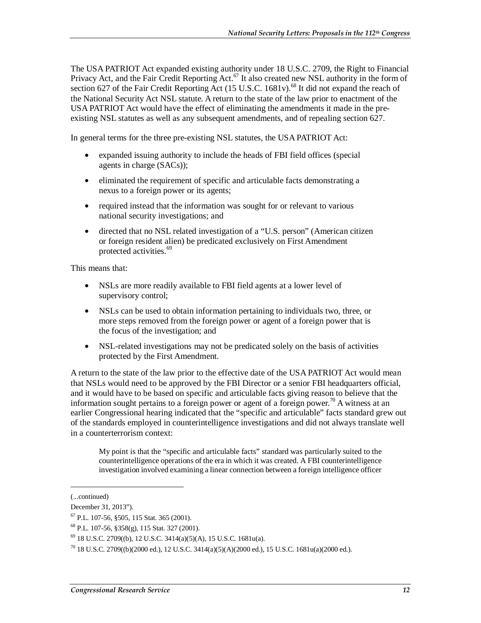The USA PATRIOT Act expanded existing authority under 18 U.S.C. 2709, the Right to Financial Privacy Act, and the Fair Credit Reporting Act.<sup>67</sup> It also created new NSL authority in the form of section 627 of the Fair Credit Reporting Act  $(15 \text{ U.S.C. } 1681 \text{ v})$ .<sup>68</sup> It did not expand the reach of the National Security Act NSL statute. A return to the state of the law prior to enactment of the USA PATRIOT Act would have the effect of eliminating the amendments it made in the preexisting NSL statutes as well as any subsequent amendments, and of repealing section 627.

In general terms for the three pre-existing NSL statutes, the USA PATRIOT Act:

- expanded issuing authority to include the heads of FBI field offices (special agents in charge (SACs));
- eliminated the requirement of specific and articulable facts demonstrating a nexus to a foreign power or its agents;
- required instead that the information was sought for or relevant to various national security investigations; and
- directed that no NSL related investigation of a "U.S. person" (American citizen or foreign resident alien) be predicated exclusively on First Amendment protected activities.<sup>69</sup>

This means that:

- NSLs are more readily available to FBI field agents at a lower level of supervisory control;
- NSLs can be used to obtain information pertaining to individuals two, three, or more steps removed from the foreign power or agent of a foreign power that is the focus of the investigation; and
- NSL-related investigations may not be predicated solely on the basis of activities protected by the First Amendment.

A return to the state of the law prior to the effective date of the USA PATRIOT Act would mean that NSLs would need to be approved by the FBI Director or a senior FBI headquarters official, and it would have to be based on specific and articulable facts giving reason to believe that the information sought pertains to a foreign power or agent of a foreign power.<sup>70</sup> A witness at an earlier Congressional hearing indicated that the "specific and articulable" facts standard grew out of the standards employed in counterintelligence investigations and did not always translate well in a counterterrorism context:

My point is that the "specific and articulable facts" standard was particularly suited to the counterintelligence operations of the era in which it was created. A FBI counterintelligence investigation involved examining a linear connection between a foreign intelligence officer

<u>.</u>

<sup>(...</sup>continued)

December 31, 2013").

<sup>67</sup> P.L. 107-56, §505, 115 Stat. 365 (2001).

<sup>68</sup> P.L. 107-56, §358(g), 115 Stat. 327 (2001).

 $69$  18 U.S.C. 2709((b), 12 U.S.C. 3414(a)(5)(A), 15 U.S.C. 1681u(a).

 $^{70}$  18 U.S.C. 2709((b)(2000 ed.), 12 U.S.C. 3414(a)(5)(A)(2000 ed.), 15 U.S.C. 1681u(a)(2000 ed.).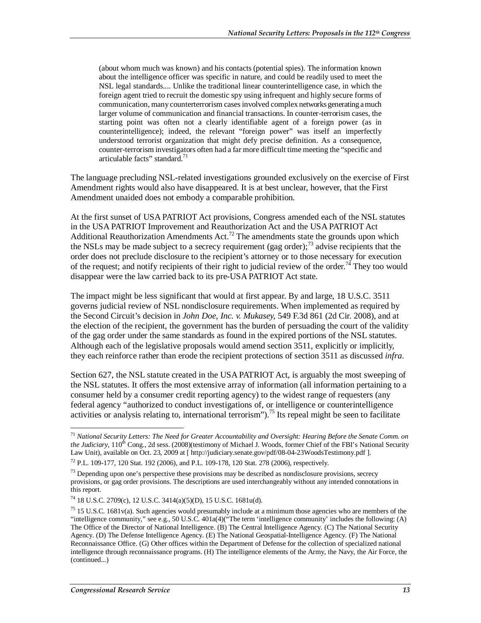(about whom much was known) and his contacts (potential spies). The information known about the intelligence officer was specific in nature, and could be readily used to meet the NSL legal standards.... Unlike the traditional linear counterintelligence case, in which the foreign agent tried to recruit the domestic spy using infrequent and highly secure forms of communication, many counterterrorism cases involved complex networks generating a much larger volume of communication and financial transactions. In counter-terrorism cases, the starting point was often not a clearly identifiable agent of a foreign power (as in counterintelligence); indeed, the relevant "foreign power" was itself an imperfectly understood terrorist organization that might defy precise definition. As a consequence, counter-terrorism investigators often had a far more difficult time meeting the "specific and articulable facts" standard. $71$ 

The language precluding NSL-related investigations grounded exclusively on the exercise of First Amendment rights would also have disappeared. It is at best unclear, however, that the First Amendment unaided does not embody a comparable prohibition.

At the first sunset of USA PATRIOT Act provisions, Congress amended each of the NSL statutes in the USA PATRIOT Improvement and Reauthorization Act and the USA PATRIOT Act Additional Reauthorization Amendments Act.<sup>72</sup> The amendments state the grounds upon which the NSLs may be made subject to a secrecy requirement (gag order);<sup>73</sup> advise recipients that the order does not preclude disclosure to the recipient's attorney or to those necessary for execution of the request; and notify recipients of their right to judicial review of the order.<sup>74</sup> They too would disappear were the law carried back to its pre-USA PATRIOT Act state.

The impact might be less significant that would at first appear. By and large, 18 U.S.C. 3511 governs judicial review of NSL nondisclosure requirements. When implemented as required by the Second Circuit's decision in *John Doe, Inc. v. Mukasey,* 549 F.3d 861 (2d Cir. 2008), and at the election of the recipient, the government has the burden of persuading the court of the validity of the gag order under the same standards as found in the expired portions of the NSL statutes. Although each of the legislative proposals would amend section 3511, explicitly or implicitly, they each reinforce rather than erode the recipient protections of section 3511 as discussed *infra*.

Section 627, the NSL statute created in the USA PATRIOT Act, is arguably the most sweeping of the NSL statutes. It offers the most extensive array of information (all information pertaining to a consumer held by a consumer credit reporting agency) to the widest range of requesters (any federal agency "authorized to conduct investigations of, or intelligence or counterintelligence activities or analysis relating to, international terrorism").<sup>75</sup> Its repeal might be seen to facilitate

-

<sup>71</sup> *National Security Letters: The Need for Greater Accountability and Oversight: Hearing Before the Senate Comm. on the Judiciary*, 110<sup>th</sup> Cong., 2d sess. (2008)(testimony of Michael J. Woods, former Chief of the FBI's National Security Law Unit), available on Oct. 23, 2009 at [ http://judiciary.senate.gov/pdf/08-04-23WoodsTestimony.pdf ].

 $^{72}$  P.L. 109-177, 120 Stat. 192 (2006), and P.L. 109-178, 120 Stat. 278 (2006), respectively.

 $^{73}$  Depending upon one's perspective these provisions may be described as nondisclosure provisions, secrecy provisions, or gag order provisions. The descriptions are used interchangeably without any intended connotations in this report.

<sup>74 18</sup> U.S.C. 2709(c), 12 U.S.C. 3414(a)(5)(D), 15 U.S.C. 1681u(d).

 $75$  15 U.S.C. 1681v(a). Such agencies would presumably include at a minimum those agencies who are members of the "intelligence community," see e.g., 50 U.S.C. 401a(4)("The term 'intelligence community' includes the following: (A) The Office of the Director of National Intelligence. (B) The Central Intelligence Agency. (C) The National Security Agency. (D) The Defense Intelligence Agency. (E) The National Geospatial-Intelligence Agency. (F) The National Reconnaissance Office. (G) Other offices within the Department of Defense for the collection of specialized national intelligence through reconnaissance programs. (H) The intelligence elements of the Army, the Navy, the Air Force, the (continued...)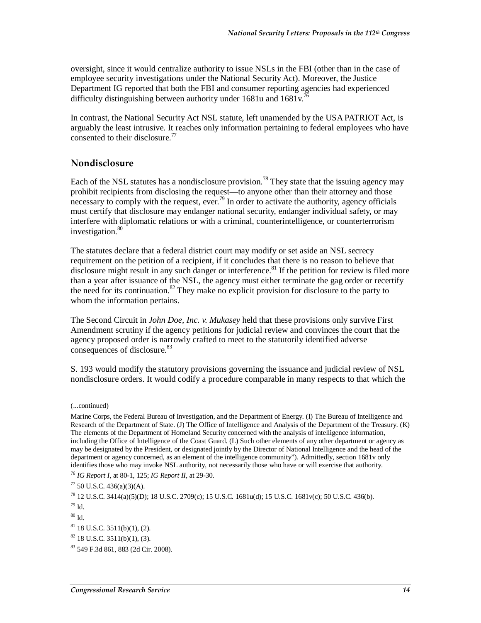oversight, since it would centralize authority to issue NSLs in the FBI (other than in the case of employee security investigations under the National Security Act). Moreover, the Justice Department IG reported that both the FBI and consumer reporting agencies had experienced difficulty distinguishing between authority under  $1681u$  and  $1681v$ .<sup>76</sup>

In contrast, the National Security Act NSL statute, left unamended by the USA PATRIOT Act, is arguably the least intrusive. It reaches only information pertaining to federal employees who have consented to their disclosure.<sup>77</sup>

#### **Nondisclosure**

Each of the NSL statutes has a nondisclosure provision.<sup>78</sup> They state that the issuing agency may prohibit recipients from disclosing the request—to anyone other than their attorney and those necessary to comply with the request, ever.<sup>79</sup> In order to activate the authority, agency officials must certify that disclosure may endanger national security, endanger individual safety, or may interfere with diplomatic relations or with a criminal, counterintelligence, or counterterrorism investigation.<sup>80</sup>

The statutes declare that a federal district court may modify or set aside an NSL secrecy requirement on the petition of a recipient, if it concludes that there is no reason to believe that disclosure might result in any such danger or interference.<sup>81</sup> If the petition for review is filed more than a year after issuance of the NSL, the agency must either terminate the gag order or recertify the need for its continuation.<sup>82</sup> They make no explicit provision for disclosure to the party to whom the information pertains.

The Second Circuit in *John Doe, Inc. v. Mukasey* held that these provisions only survive First Amendment scrutiny if the agency petitions for judicial review and convinces the court that the agency proposed order is narrowly crafted to meet to the statutorily identified adverse consequences of disclosure.<sup>83</sup>

S. 193 would modify the statutory provisions governing the issuance and judicial review of NSL nondisclosure orders. It would codify a procedure comparable in many respects to that which the

<u>.</u>

<sup>(...</sup>continued)

Marine Corps, the Federal Bureau of Investigation, and the Department of Energy. (I) The Bureau of Intelligence and Research of the Department of State. (J) The Office of Intelligence and Analysis of the Department of the Treasury. (K) The elements of the Department of Homeland Security concerned with the analysis of intelligence information, including the Office of Intelligence of the Coast Guard. (L) Such other elements of any other department or agency as may be designated by the President, or designated jointly by the Director of National Intelligence and the head of the department or agency concerned, as an element of the intelligence community"). Admittedly, section 1681v only identifies those who may invoke NSL authority, not necessarily those who have or will exercise that authority.

<sup>76</sup> *IG Report I*, at 80-1, 125; *IG Report II*, at 29-30.

 $77\,$  50 U.S.C. 436(a)(3)(A).

<sup>78 12</sup> U.S.C. 3414(a)(5)(D); 18 U.S.C. 2709(c); 15 U.S.C. 1681u(d); 15 U.S.C. 1681v(c); 50 U.S.C. 436(b).

<sup>79</sup> Id.

 $80$  Id.

 $81$  18 U.S.C. 3511(b)(1), (2).

 $82$  18 U.S.C. 3511(b)(1), (3).

<sup>83 549</sup> F.3d 861, 883 (2d Cir. 2008).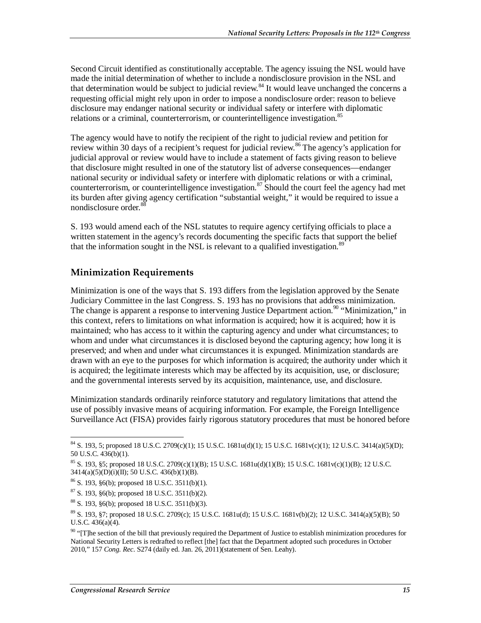Second Circuit identified as constitutionally acceptable. The agency issuing the NSL would have made the initial determination of whether to include a nondisclosure provision in the NSL and that determination would be subject to judicial review.<sup>84</sup> It would leave unchanged the concerns a requesting official might rely upon in order to impose a nondisclosure order: reason to believe disclosure may endanger national security or individual safety or interfere with diplomatic relations or a criminal, counterterrorism, or counterintelligence investigation.<sup>85</sup>

The agency would have to notify the recipient of the right to judicial review and petition for review within 30 days of a recipient's request for judicial review.<sup>86</sup> The agency's application for judicial approval or review would have to include a statement of facts giving reason to believe that disclosure might resulted in one of the statutory list of adverse consequences—endanger national security or individual safety or interfere with diplomatic relations or with a criminal, counterterrorism, or counterintelligence investigation.<sup>87</sup> Should the court feel the agency had met its burden after giving agency certification "substantial weight," it would be required to issue a nondisclosure order.<sup>88</sup>

S. 193 would amend each of the NSL statutes to require agency certifying officials to place a written statement in the agency's records documenting the specific facts that support the belief that the information sought in the NSL is relevant to a qualified investigation.<sup>89</sup>

### **Minimization Requirements**

Minimization is one of the ways that S. 193 differs from the legislation approved by the Senate Judiciary Committee in the last Congress. S. 193 has no provisions that address minimization. The change is apparent a response to intervening Justice Department action.<sup>90</sup> "Minimization," in this context, refers to limitations on what information is acquired; how it is acquired; how it is maintained; who has access to it within the capturing agency and under what circumstances; to whom and under what circumstances it is disclosed beyond the capturing agency; how long it is preserved; and when and under what circumstances it is expunged. Minimization standards are drawn with an eye to the purposes for which information is acquired; the authority under which it is acquired; the legitimate interests which may be affected by its acquisition, use, or disclosure; and the governmental interests served by its acquisition, maintenance, use, and disclosure.

Minimization standards ordinarily reinforce statutory and regulatory limitations that attend the use of possibly invasive means of acquiring information. For example, the Foreign Intelligence Surveillance Act (FISA) provides fairly rigorous statutory procedures that must be honored before

<sup>&</sup>lt;u>.</u>  $84$  S. 193, 5; proposed 18 U.S.C. 2709(c)(1); 15 U.S.C. 1681u(d)(1); 15 U.S.C. 1681v(c)(1); 12 U.S.C. 3414(a)(5)(D); 50 U.S.C. 436(b)(1).

<sup>85</sup> S. 193, §5; proposed 18 U.S.C. 2709(c)(1)(B); 15 U.S.C. 1681u(d)(1)(B); 15 U.S.C. 1681v(c)(1)(B); 12 U.S.C.  $3414(a)(5)(D)(i)(II); 50 U.S.C. 436(b)(1)(B).$ 

 $86$  S. 193,  $§6(b)$ ; proposed 18 U.S.C. 3511(b)(1).

 $87$  S. 193, §6(b); proposed 18 U.S.C. 3511(b)(2).

<sup>88</sup> S. 193, §6(b); proposed 18 U.S.C. 3511(b)(3).

<sup>89</sup> S. 193, §7; proposed 18 U.S.C. 2709(c); 15 U.S.C. 1681u(d); 15 U.S.C. 1681v(b)(2); 12 U.S.C. 3414(a)(5)(B); 50 U.S.C. 436(a)(4).

<sup>&</sup>lt;sup>90</sup> "[T]he section of the bill that previously required the Department of Justice to establish minimization procedures for National Security Letters is redrafted to reflect [the] fact that the Department adopted such procedures in October 2010," 157 *Cong. Rec*. S274 (daily ed. Jan. 26, 2011)(statement of Sen. Leahy).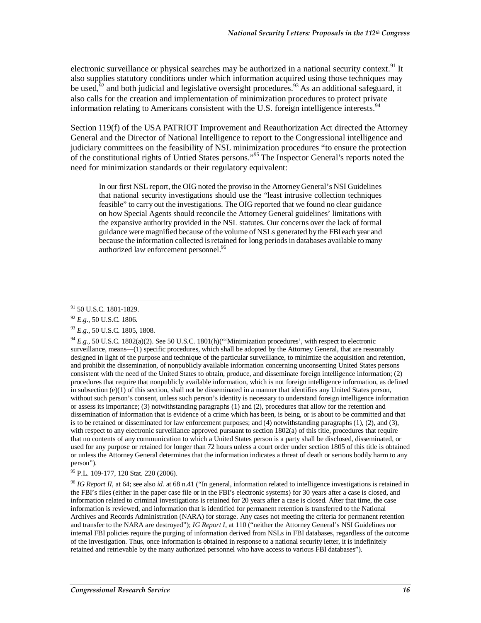electronic surveillance or physical searches may be authorized in a national security context.<sup>91</sup> It also supplies statutory conditions under which information acquired using those techniques may be used, $3^2$  and both judicial and legislative oversight procedures.  $3^3$  As an additional safeguard, it also calls for the creation and implementation of minimization procedures to protect private information relating to Americans consistent with the U.S. foreign intelligence interests.<sup>94</sup>

Section 119(f) of the USA PATRIOT Improvement and Reauthorization Act directed the Attorney General and the Director of National Intelligence to report to the Congressional intelligence and judiciary committees on the feasibility of NSL minimization procedures "to ensure the protection of the constitutional rights of Untied States persons."<sup>95</sup> The Inspector General's reports noted the need for minimization standards or their regulatory equivalent:

In our first NSL report, the OIG noted the proviso in the Attorney General's NSI Guidelines that national security investigations should use the "least intrusive collection techniques feasible" to carry out the investigations. The OIG reported that we found no clear guidance on how Special Agents should reconcile the Attorney General guidelines' limitations with the expansive authority provided in the NSL statutes. Our concerns over the lack of formal guidance were magnified because of the volume of NSLs generated by the FBI each year and because the information collected is retained for long periods in databases available to many authorized law enforcement personnel.<sup>96</sup>

<sup>94</sup> *E.g.*, 50 U.S.C. 1802(a)(2). See 50 U.S.C. 1801(h)("Minimization procedures', with respect to electronic surveillance, means—(1) specific procedures, which shall be adopted by the Attorney General, that are reasonably designed in light of the purpose and technique of the particular surveillance, to minimize the acquisition and retention, and prohibit the dissemination, of nonpublicly available information concerning unconsenting United States persons consistent with the need of the United States to obtain, produce, and disseminate foreign intelligence information; (2) procedures that require that nonpublicly available information, which is not foreign intelligence information, as defined in subsection (e)(1) of this section, shall not be disseminated in a manner that identifies any United States person, without such person's consent, unless such person's identity is necessary to understand foreign intelligence information or assess its importance; (3) notwithstanding paragraphs (1) and (2), procedures that allow for the retention and dissemination of information that is evidence of a crime which has been, is being, or is about to be committed and that is to be retained or disseminated for law enforcement purposes; and (4) notwithstanding paragraphs (1), (2), and (3), with respect to any electronic surveillance approved pursuant to section 1802(a) of this title, procedures that require that no contents of any communication to which a United States person is a party shall be disclosed, disseminated, or used for any purpose or retained for longer than 72 hours unless a court order under section 1805 of this title is obtained or unless the Attorney General determines that the information indicates a threat of death or serious bodily harm to any person").

95 P.L. 109-177, 120 Stat. 220 (2006).

<sup>96</sup> *IG Report II*, at 64; see also *id.* at 68 n.41 ("In general, information related to intelligence investigations is retained in the FBI's files (either in the paper case file or in the FBI's electronic systems) for 30 years after a case is closed, and information related to criminal investigations is retained for 20 years after a case is closed. After that time, the case information is reviewed, and information that is identified for permanent retention is transferred to the National Archives and Records Administration (NARA) for storage. Any cases not meeting the criteria for permanent retention and transfer to the NARA are destroyed"); *IG Report I*, at 110 ("neither the Attorney General's NSI Guidelines nor internal FBI policies require the purging of information derived from NSLs in FBI databases, regardless of the outcome of the investigation. Thus, once information is obtained in response to a national security letter, it is indefinitely retained and retrievable by the many authorized personnel who have access to various FBI databases").

<sup>-</sup><sup>91</sup> 50 U.S.C. 1801-1829.

<sup>92</sup> *E.g*., 50 U.S.C. 1806.

<sup>93</sup> *E.g*., 50 U.S.C. 1805, 1808.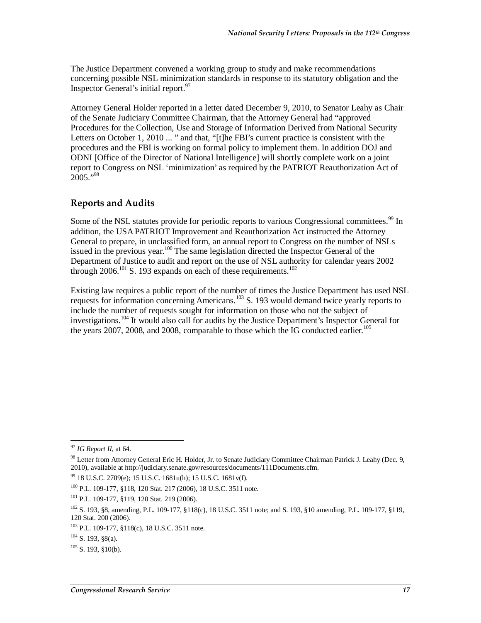The Justice Department convened a working group to study and make recommendations concerning possible NSL minimization standards in response to its statutory obligation and the Inspector General's initial report. $97$ 

Attorney General Holder reported in a letter dated December 9, 2010, to Senator Leahy as Chair of the Senate Judiciary Committee Chairman, that the Attorney General had "approved Procedures for the Collection, Use and Storage of Information Derived from National Security Letters on October 1, 2010 ... " and that, "[t]he FBI's current practice is consistent with the procedures and the FBI is working on formal policy to implement them. In addition DOJ and ODNI [Office of the Director of National Intelligence] will shortly complete work on a joint report to Congress on NSL 'minimization' as required by the PATRIOT Reauthorization Act of  $2005.$ <sup>98</sup>

#### **Reports and Audits**

Some of the NSL statutes provide for periodic reports to various Congressional committees.<sup>99</sup> In addition, the USA PATRIOT Improvement and Reauthorization Act instructed the Attorney General to prepare, in unclassified form, an annual report to Congress on the number of NSLs issued in the previous year.<sup>100</sup> The same legislation directed the Inspector General of the Department of Justice to audit and report on the use of NSL authority for calendar years 2002 through  $2006$ .<sup>101</sup> S. 193 expands on each of these requirements.<sup>102</sup>

Existing law requires a public report of the number of times the Justice Department has used NSL requests for information concerning Americans.<sup>103</sup> S. 193 would demand twice yearly reports to include the number of requests sought for information on those who not the subject of investigations.<sup>104</sup> It would also call for audits by the Justice Department's Inspector General for the years 2007, 2008, and 2008, comparable to those which the IG conducted earlier.<sup>105</sup>

<sup>-</sup><sup>97</sup> *IG Report II*, at 64.

<sup>98</sup> Letter from Attorney General Eric H. Holder, Jr. to Senate Judiciary Committee Chairman Patrick J. Leahy (Dec. 9, 2010), available at http://judiciary.senate.gov/resources/documents/111Documents.cfm.

 $99$  18 U.S.C. 2709(e); 15 U.S.C. 1681u(h); 15 U.S.C. 1681v(f).

<sup>100</sup> P.L. 109-177, §118, 120 Stat. 217 (2006), 18 U.S.C. 3511 note.

<sup>101</sup> P.L. 109-177, §119, 120 Stat. 219 (2006).

<sup>102</sup> S. 193, §8, amending, P.L. 109-177, §118(c), 18 U.S.C. 3511 note; and S. 193, §10 amending, P.L. 109-177, §119, 120 Stat. 200 (2006).

<sup>103</sup> P.L. 109-177, §118(c), 18 U.S.C. 3511 note.

 $104$  S. 193, §8(a).

 $105$  S. 193, \$10(b).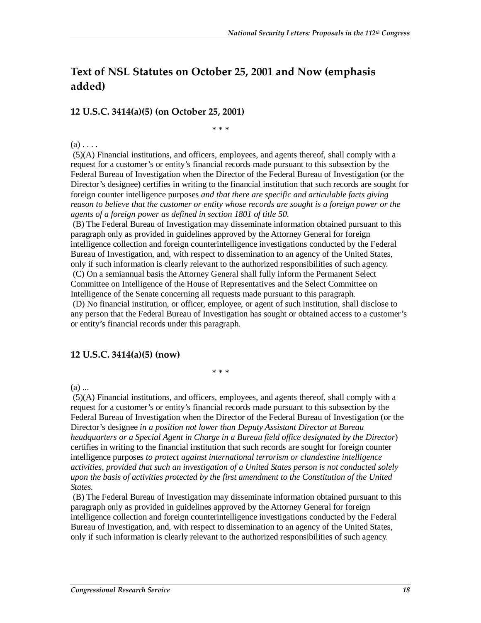## **Text of NSL Statutes on October 25, 2001 and Now (emphasis added)**

#### **12 U.S.C. 3414(a)(5) (on October 25, 2001)**

\* \* \*

 $(a)$ ...

 (5)(A) Financial institutions, and officers, employees, and agents thereof, shall comply with a request for a customer's or entity's financial records made pursuant to this subsection by the Federal Bureau of Investigation when the Director of the Federal Bureau of Investigation (or the Director's designee) certifies in writing to the financial institution that such records are sought for foreign counter intelligence purposes *and that there are specific and articulable facts giving reason to believe that the customer or entity whose records are sought is a foreign power or the agents of a foreign power as defined in section 1801 of title 50*.

 (B) The Federal Bureau of Investigation may disseminate information obtained pursuant to this paragraph only as provided in guidelines approved by the Attorney General for foreign intelligence collection and foreign counterintelligence investigations conducted by the Federal Bureau of Investigation, and, with respect to dissemination to an agency of the United States, only if such information is clearly relevant to the authorized responsibilities of such agency. (C) On a semiannual basis the Attorney General shall fully inform the Permanent Select Committee on Intelligence of the House of Representatives and the Select Committee on Intelligence of the Senate concerning all requests made pursuant to this paragraph. (D) No financial institution, or officer, employee, or agent of such institution, shall disclose to any person that the Federal Bureau of Investigation has sought or obtained access to a customer's or entity's financial records under this paragraph.

#### **12 U.S.C. 3414(a)(5) (now)**

\* \* \*

(a) ...

 (5)(A) Financial institutions, and officers, employees, and agents thereof, shall comply with a request for a customer's or entity's financial records made pursuant to this subsection by the Federal Bureau of Investigation when the Director of the Federal Bureau of Investigation (or the Director's designee *in a position not lower than Deputy Assistant Director at Bureau headquarters or a Special Agent in Charge in a Bureau field office designated by the Director*) certifies in writing to the financial institution that such records are sought for foreign counter intelligence purposes *to protect against international terrorism or clandestine intelligence activities, provided that such an investigation of a United States person is not conducted solely upon the basis of activities protected by the first amendment to the Constitution of the United States.* 

 (B) The Federal Bureau of Investigation may disseminate information obtained pursuant to this paragraph only as provided in guidelines approved by the Attorney General for foreign intelligence collection and foreign counterintelligence investigations conducted by the Federal Bureau of Investigation, and, with respect to dissemination to an agency of the United States, only if such information is clearly relevant to the authorized responsibilities of such agency.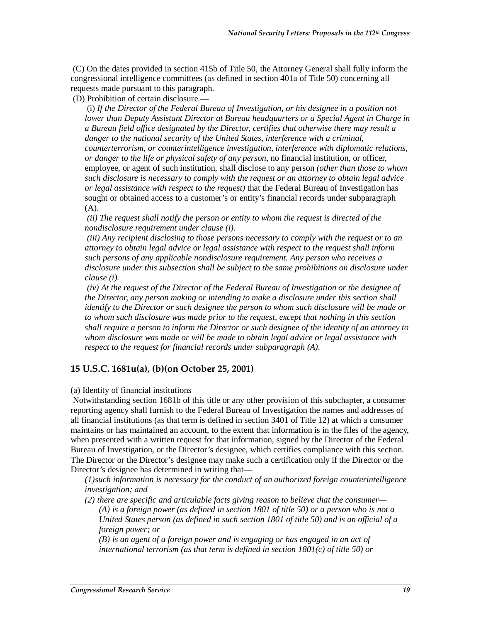(C) On the dates provided in section 415b of Title 50, the Attorney General shall fully inform the congressional intelligence committees (as defined in section 401a of Title 50) concerning all requests made pursuant to this paragraph.

(D) Prohibition of certain disclosure.—

 (i) *If the Director of the Federal Bureau of Investigation, or his designee in a position not lower than Deputy Assistant Director at Bureau headquarters or a Special Agent in Charge in a Bureau field office designated by the Director, certifies that otherwise there may result a danger to the national security of the United States, interference with a criminal, counterterrorism, or counterintelligence investigation, interference with diplomatic relations, or danger to the life or physical safety of any person*, no financial institution, or officer, employee, or agent of such institution, shall disclose to any person *(other than those to whom such disclosure is necessary to comply with the request or an attorney to obtain legal advice or legal assistance with respect to the request)* that the Federal Bureau of Investigation has sought or obtained access to a customer's or entity's financial records under subparagraph (A).

 *(ii) The request shall notify the person or entity to whom the request is directed of the nondisclosure requirement under clause (i).* 

 *(iii) Any recipient disclosing to those persons necessary to comply with the request or to an attorney to obtain legal advice or legal assistance with respect to the request shall inform such persons of any applicable nondisclosure requirement. Any person who receives a disclosure under this subsection shall be subject to the same prohibitions on disclosure under clause (i).* 

 *(iv) At the request of the Director of the Federal Bureau of Investigation or the designee of the Director, any person making or intending to make a disclosure under this section shall identify to the Director or such designee the person to whom such disclosure will be made or to whom such disclosure was made prior to the request, except that nothing in this section shall require a person to inform the Director or such designee of the identity of an attorney to whom disclosure was made or will be made to obtain legal advice or legal assistance with respect to the request for financial records under subparagraph (A).* 

#### **15 U.S.C. 1681u(a), (b)(on October 25, 2001)**

#### (a) Identity of financial institutions

 Notwithstanding section 1681b of this title or any other provision of this subchapter, a consumer reporting agency shall furnish to the Federal Bureau of Investigation the names and addresses of all financial institutions (as that term is defined in section 3401 of Title 12) at which a consumer maintains or has maintained an account, to the extent that information is in the files of the agency, when presented with a written request for that information, signed by the Director of the Federal Bureau of Investigation, or the Director's designee, which certifies compliance with this section. The Director or the Director's designee may make such a certification only if the Director or the Director's designee has determined in writing that—

*(1)such information is necessary for the conduct of an authorized foreign counterintelligence investigation; and* 

*(2) there are specific and articulable facts giving reason to believe that the consumer— (A) is a foreign power (as defined in section 1801 of title 50) or a person who is not a United States person (as defined in such section 1801 of title 50) and is an official of a foreign power; or* 

*(B) is an agent of a foreign power and is engaging or has engaged in an act of international terrorism (as that term is defined in section 1801(c) of title 50) or*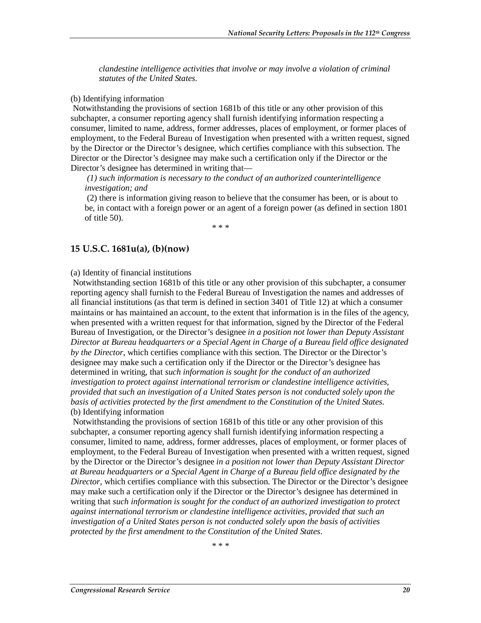*clandestine intelligence activities that involve or may involve a violation of criminal statutes of the United States.* 

#### (b) Identifying information

 Notwithstanding the provisions of section 1681b of this title or any other provision of this subchapter, a consumer reporting agency shall furnish identifying information respecting a consumer, limited to name, address, former addresses, places of employment, or former places of employment, to the Federal Bureau of Investigation when presented with a written request, signed by the Director or the Director's designee, which certifies compliance with this subsection. The Director or the Director's designee may make such a certification only if the Director or the Director's designee has determined in writing that—

 *(1) such information is necessary to the conduct of an authorized counterintelligence investigation; and* 

 (2) there is information giving reason to believe that the consumer has been, or is about to be, in contact with a foreign power or an agent of a foreign power (as defined in section 1801 of title 50).

\* \* \*

#### **15 U.S.C. 1681u(a), (b)(now)**

#### (a) Identity of financial institutions

 Notwithstanding section 1681b of this title or any other provision of this subchapter, a consumer reporting agency shall furnish to the Federal Bureau of Investigation the names and addresses of all financial institutions (as that term is defined in section 3401 of Title 12) at which a consumer maintains or has maintained an account, to the extent that information is in the files of the agency, when presented with a written request for that information, signed by the Director of the Federal Bureau of Investigation, or the Director's designee *in a position not lower than Deputy Assistant Director at Bureau headquarters or a Special Agent in Charge of a Bureau field office designated by the Director*, which certifies compliance with this section. The Director or the Director's designee may make such a certification only if the Director or the Director's designee has determined in writing, that *such information is sought for the conduct of an authorized investigation to protect against international terrorism or clandestine intelligence activities, provided that such an investigation of a United States person is not conducted solely upon the basis of activities protected by the first amendment to the Constitution of the United States.*  (b) Identifying information

 Notwithstanding the provisions of section 1681b of this title or any other provision of this subchapter, a consumer reporting agency shall furnish identifying information respecting a consumer, limited to name, address, former addresses, places of employment, or former places of employment, to the Federal Bureau of Investigation when presented with a written request, signed by the Director or the Director's designee *in a position not lower than Deputy Assistant Director at Bureau headquarters or a Special Agent in Charge of a Bureau field office designated by the Director*, which certifies compliance with this subsection. The Director or the Director's designee may make such a certification only if the Director or the Director's designee has determined in writing that *such information is sought for the conduct of an authorized investigation to protect against international terrorism or clandestine intelligence activities, provided that such an investigation of a United States person is not conducted solely upon the basis of activities protected by the first amendment to the Constitution of the United States*.

\* \* \*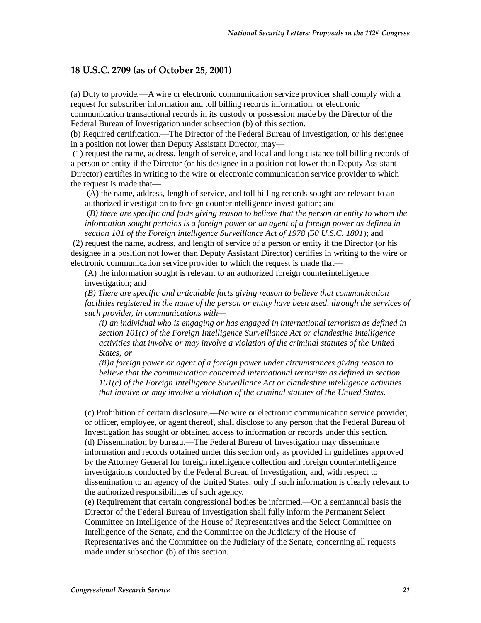#### **18 U.S.C. 2709 (as of October 25, 2001)**

(a) Duty to provide.—A wire or electronic communication service provider shall comply with a request for subscriber information and toll billing records information, or electronic communication transactional records in its custody or possession made by the Director of the Federal Bureau of Investigation under subsection (b) of this section.

(b) Required certification.—The Director of the Federal Bureau of Investigation, or his designee in a position not lower than Deputy Assistant Director, may—

 (1) request the name, address, length of service, and local and long distance toll billing records of a person or entity if the Director (or his designee in a position not lower than Deputy Assistant Director) certifies in writing to the wire or electronic communication service provider to which the request is made that—

 (A) the name, address, length of service, and toll billing records sought are relevant to an authorized investigation to foreign counterintelligence investigation; and

 (*B) there are specific and facts giving reason to believe that the person or entity to whom the information sought pertains is a foreign power or an agent of a foreign power as defined in section 101 of the Foreign intelligence Surveillance Act of 1978 (50 U.S.C. 1801*); and

 (2) request the name, address, and length of service of a person or entity if the Director (or his designee in a position not lower than Deputy Assistant Director) certifies in writing to the wire or electronic communication service provider to which the request is made that—

(A) the information sought is relevant to an authorized foreign counterintelligence investigation; and

*(B) There are specific and articulable facts giving reason to believe that communication facilities registered in the name of the person or entity have been used, through the services of such provider, in communications with—* 

*(i) an individual who is engaging or has engaged in international terrorism as defined in section 101(c) of the Foreign Intelligence Surveillance Act or clandestine intelligence activities that involve or may involve a violation of the criminal statutes of the United States; or* 

*(ii)a foreign power or agent of a foreign power under circumstances giving reason to believe that the communication concerned international terrorism as defined in section 101(c) of the Foreign Intelligence Surveillance Act or clandestine intelligence activities that involve or may involve a violation of the criminal statutes of the United States.* 

(c) Prohibition of certain disclosure.—No wire or electronic communication service provider, or officer, employee, or agent thereof, shall disclose to any person that the Federal Bureau of Investigation has sought or obtained access to information or records under this section. (d) Dissemination by bureau.—The Federal Bureau of Investigation may disseminate information and records obtained under this section only as provided in guidelines approved by the Attorney General for foreign intelligence collection and foreign counterintelligence investigations conducted by the Federal Bureau of Investigation, and, with respect to dissemination to an agency of the United States, only if such information is clearly relevant to the authorized responsibilities of such agency.

(e) Requirement that certain congressional bodies be informed.—On a semiannual basis the Director of the Federal Bureau of Investigation shall fully inform the Permanent Select Committee on Intelligence of the House of Representatives and the Select Committee on Intelligence of the Senate, and the Committee on the Judiciary of the House of Representatives and the Committee on the Judiciary of the Senate, concerning all requests made under subsection (b) of this section.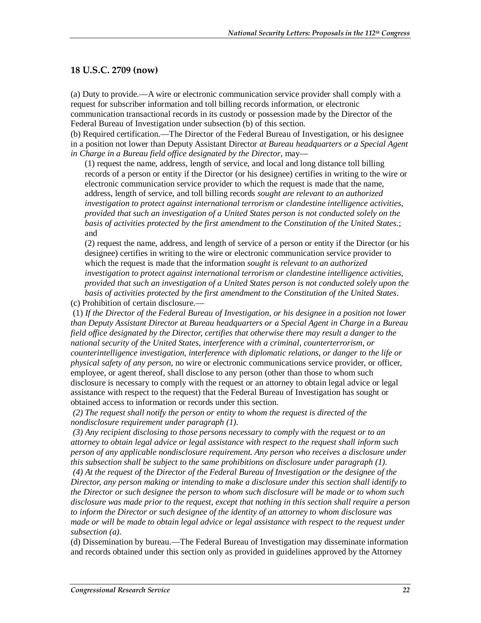#### **18 U.S.C. 2709 (now)**

(a) Duty to provide.—A wire or electronic communication service provider shall comply with a request for subscriber information and toll billing records information, or electronic communication transactional records in its custody or possession made by the Director of the Federal Bureau of Investigation under subsection (b) of this section.

(b) Required certification.—The Director of the Federal Bureau of Investigation, or his designee in a position not lower than Deputy Assistant Director *at Bureau headquarters or a Special Agent in Charge in a Bureau field office designated by the Director*, may—

(1) request the name, address, length of service, and local and long distance toll billing records of a person or entity if the Director (or his designee) certifies in writing to the wire or electronic communication service provider to which the request is made that the name, address, length of service, and toll billing records *sought are relevant to an authorized investigation to protect against international terrorism or clandestine intelligence activities, provided that such an investigation of a United States person is not conducted solely on the basis of activities protected by the first amendment to the Constitution of the United States.*; and

(2) request the name, address, and length of service of a person or entity if the Director (or his designee) certifies in writing to the wire or electronic communication service provider to which the request is made that the information *sought is relevant to an authorized investigation to protect against international terrorism or clandestine intelligence activities, provided that such an investigation of a United States person is not conducted solely upon the basis of activities protected by the first amendment to the Constitution of the United States*.

(c) Prohibition of certain disclosure.—

 (1) *If the Director of the Federal Bureau of Investigation, or his designee in a position not lower than Deputy Assistant Director at Bureau headquarters or a Special Agent in Charge in a Bureau field office designated by the Director, certifies that otherwise there may result a danger to the national security of the United States, interference with a criminal, counterterrorism, or counterintelligence investigation, interference with diplomatic relations, or danger to the life or physical safety of any person*, no wire or electronic communications service provider, or officer, employee, or agent thereof, shall disclose to any person (other than those to whom such disclosure is necessary to comply with the request or an attorney to obtain legal advice or legal assistance with respect to the request) that the Federal Bureau of Investigation has sought or obtained access to information or records under this section.

 *(2) The request shall notify the person or entity to whom the request is directed of the nondisclosure requirement under paragraph (1).* 

 *(3) Any recipient disclosing to those persons necessary to comply with the request or to an attorney to obtain legal advice or legal assistance with respect to the request shall inform such person of any applicable nondisclosure requirement. Any person who receives a disclosure under this subsection shall be subject to the same prohibitions on disclosure under paragraph (1).* 

 *(4) At the request of the Director of the Federal Bureau of Investigation or the designee of the Director, any person making or intending to make a disclosure under this section shall identify to the Director or such designee the person to whom such disclosure will be made or to whom such disclosure was made prior to the request, except that nothing in this section shall require a person to inform the Director or such designee of the identity of an attorney to whom disclosure was made or will be made to obtain legal advice or legal assistance with respect to the request under subsection (a).*

(d) Dissemination by bureau.—The Federal Bureau of Investigation may disseminate information and records obtained under this section only as provided in guidelines approved by the Attorney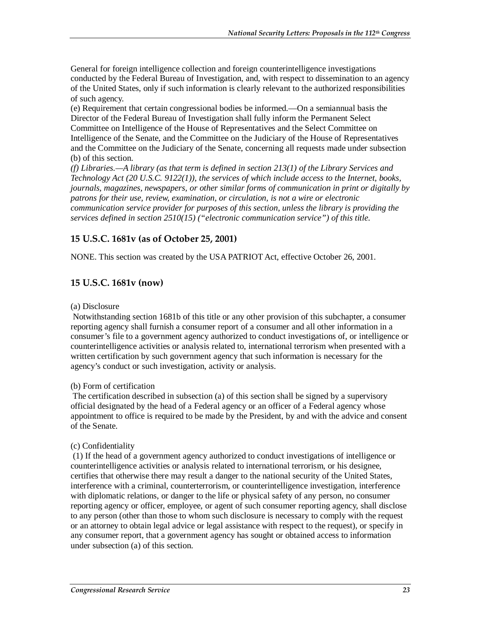General for foreign intelligence collection and foreign counterintelligence investigations conducted by the Federal Bureau of Investigation, and, with respect to dissemination to an agency of the United States, only if such information is clearly relevant to the authorized responsibilities of such agency.

(e) Requirement that certain congressional bodies be informed.—On a semiannual basis the Director of the Federal Bureau of Investigation shall fully inform the Permanent Select Committee on Intelligence of the House of Representatives and the Select Committee on Intelligence of the Senate, and the Committee on the Judiciary of the House of Representatives and the Committee on the Judiciary of the Senate, concerning all requests made under subsection (b) of this section.

*(f) Libraries.—A library (as that term is defined in section 213(1) of the Library Services and Technology Act (20 U.S.C. 9122(1)), the services of which include access to the Internet, books, journals, magazines, newspapers, or other similar forms of communication in print or digitally by patrons for their use, review, examination, or circulation, is not a wire or electronic communication service provider for purposes of this section, unless the library is providing the services defined in section 2510(15) ("electronic communication service") of this title.* 

#### **15 U.S.C. 1681v (as of October 25, 2001)**

NONE. This section was created by the USA PATRIOT Act, effective October 26, 2001.

#### **15 U.S.C. 1681v (now)**

#### (a) Disclosure

 Notwithstanding section 1681b of this title or any other provision of this subchapter, a consumer reporting agency shall furnish a consumer report of a consumer and all other information in a consumer's file to a government agency authorized to conduct investigations of, or intelligence or counterintelligence activities or analysis related to, international terrorism when presented with a written certification by such government agency that such information is necessary for the agency's conduct or such investigation, activity or analysis.

#### (b) Form of certification

 The certification described in subsection (a) of this section shall be signed by a supervisory official designated by the head of a Federal agency or an officer of a Federal agency whose appointment to office is required to be made by the President, by and with the advice and consent of the Senate.

#### (c) Confidentiality

 (1) If the head of a government agency authorized to conduct investigations of intelligence or counterintelligence activities or analysis related to international terrorism, or his designee, certifies that otherwise there may result a danger to the national security of the United States, interference with a criminal, counterterrorism, or counterintelligence investigation, interference with diplomatic relations, or danger to the life or physical safety of any person, no consumer reporting agency or officer, employee, or agent of such consumer reporting agency, shall disclose to any person (other than those to whom such disclosure is necessary to comply with the request or an attorney to obtain legal advice or legal assistance with respect to the request), or specify in any consumer report, that a government agency has sought or obtained access to information under subsection (a) of this section.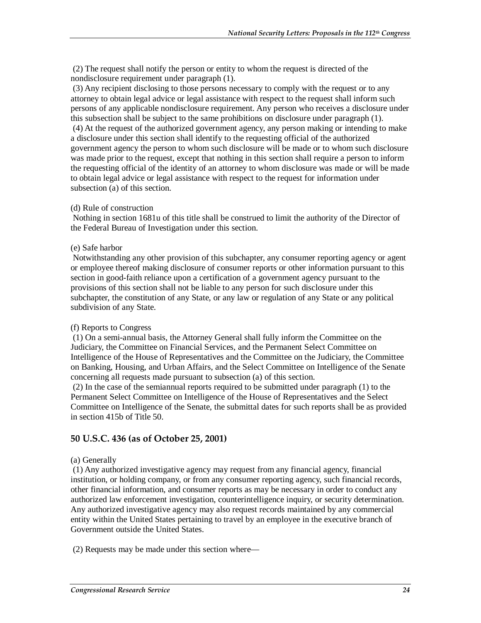(2) The request shall notify the person or entity to whom the request is directed of the nondisclosure requirement under paragraph (1).

 (3) Any recipient disclosing to those persons necessary to comply with the request or to any attorney to obtain legal advice or legal assistance with respect to the request shall inform such persons of any applicable nondisclosure requirement. Any person who receives a disclosure under this subsection shall be subject to the same prohibitions on disclosure under paragraph (1). (4) At the request of the authorized government agency, any person making or intending to make a disclosure under this section shall identify to the requesting official of the authorized government agency the person to whom such disclosure will be made or to whom such disclosure was made prior to the request, except that nothing in this section shall require a person to inform the requesting official of the identity of an attorney to whom disclosure was made or will be made to obtain legal advice or legal assistance with respect to the request for information under subsection (a) of this section.

#### (d) Rule of construction

 Nothing in section 1681u of this title shall be construed to limit the authority of the Director of the Federal Bureau of Investigation under this section.

#### (e) Safe harbor

 Notwithstanding any other provision of this subchapter, any consumer reporting agency or agent or employee thereof making disclosure of consumer reports or other information pursuant to this section in good-faith reliance upon a certification of a government agency pursuant to the provisions of this section shall not be liable to any person for such disclosure under this subchapter, the constitution of any State, or any law or regulation of any State or any political subdivision of any State.

#### (f) Reports to Congress

 (1) On a semi-annual basis, the Attorney General shall fully inform the Committee on the Judiciary, the Committee on Financial Services, and the Permanent Select Committee on Intelligence of the House of Representatives and the Committee on the Judiciary, the Committee on Banking, Housing, and Urban Affairs, and the Select Committee on Intelligence of the Senate concerning all requests made pursuant to subsection (a) of this section.

 (2) In the case of the semiannual reports required to be submitted under paragraph (1) to the Permanent Select Committee on Intelligence of the House of Representatives and the Select Committee on Intelligence of the Senate, the submittal dates for such reports shall be as provided in section 415b of Title 50.

#### **50 U.S.C. 436 (as of October 25, 2001)**

#### (a) Generally

 (1) Any authorized investigative agency may request from any financial agency, financial institution, or holding company, or from any consumer reporting agency, such financial records, other financial information, and consumer reports as may be necessary in order to conduct any authorized law enforcement investigation, counterintelligence inquiry, or security determination. Any authorized investigative agency may also request records maintained by any commercial entity within the United States pertaining to travel by an employee in the executive branch of Government outside the United States.

(2) Requests may be made under this section where—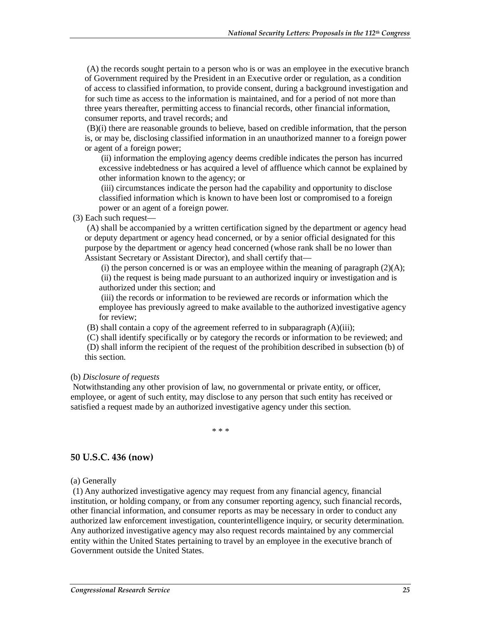(A) the records sought pertain to a person who is or was an employee in the executive branch of Government required by the President in an Executive order or regulation, as a condition of access to classified information, to provide consent, during a background investigation and for such time as access to the information is maintained, and for a period of not more than three years thereafter, permitting access to financial records, other financial information, consumer reports, and travel records; and

 (B)(i) there are reasonable grounds to believe, based on credible information, that the person is, or may be, disclosing classified information in an unauthorized manner to a foreign power or agent of a foreign power;

 (ii) information the employing agency deems credible indicates the person has incurred excessive indebtedness or has acquired a level of affluence which cannot be explained by other information known to the agency; or

 (iii) circumstances indicate the person had the capability and opportunity to disclose classified information which is known to have been lost or compromised to a foreign power or an agent of a foreign power.

(3) Each such request—

 (A) shall be accompanied by a written certification signed by the department or agency head or deputy department or agency head concerned, or by a senior official designated for this purpose by the department or agency head concerned (whose rank shall be no lower than Assistant Secretary or Assistant Director), and shall certify that—

(i) the person concerned is or was an employee within the meaning of paragraph  $(2)(A)$ ; (ii) the request is being made pursuant to an authorized inquiry or investigation and is authorized under this section; and

 (iii) the records or information to be reviewed are records or information which the employee has previously agreed to make available to the authorized investigative agency for review;

(B) shall contain a copy of the agreement referred to in subparagraph (A)(iii);

 (C) shall identify specifically or by category the records or information to be reviewed; and (D) shall inform the recipient of the request of the prohibition described in subsection (b) of this section.

#### (b) *Disclosure of requests*

 Notwithstanding any other provision of law, no governmental or private entity, or officer, employee, or agent of such entity, may disclose to any person that such entity has received or satisfied a request made by an authorized investigative agency under this section.

\* \* \*

#### **50 U.S.C. 436 (now)**

(a) Generally

 (1) Any authorized investigative agency may request from any financial agency, financial institution, or holding company, or from any consumer reporting agency, such financial records, other financial information, and consumer reports as may be necessary in order to conduct any authorized law enforcement investigation, counterintelligence inquiry, or security determination. Any authorized investigative agency may also request records maintained by any commercial entity within the United States pertaining to travel by an employee in the executive branch of Government outside the United States.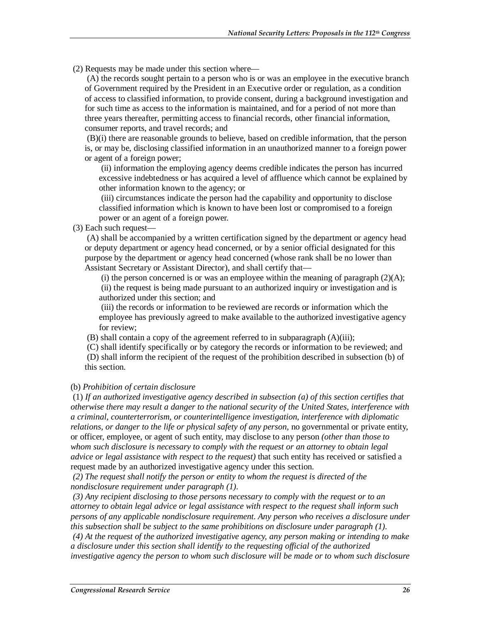(2) Requests may be made under this section where—

 (A) the records sought pertain to a person who is or was an employee in the executive branch of Government required by the President in an Executive order or regulation, as a condition of access to classified information, to provide consent, during a background investigation and for such time as access to the information is maintained, and for a period of not more than three years thereafter, permitting access to financial records, other financial information, consumer reports, and travel records; and

 (B)(i) there are reasonable grounds to believe, based on credible information, that the person is, or may be, disclosing classified information in an unauthorized manner to a foreign power or agent of a foreign power;

 (ii) information the employing agency deems credible indicates the person has incurred excessive indebtedness or has acquired a level of affluence which cannot be explained by other information known to the agency; or

 (iii) circumstances indicate the person had the capability and opportunity to disclose classified information which is known to have been lost or compromised to a foreign power or an agent of a foreign power.

(3) Each such request—

 (A) shall be accompanied by a written certification signed by the department or agency head or deputy department or agency head concerned, or by a senior official designated for this purpose by the department or agency head concerned (whose rank shall be no lower than Assistant Secretary or Assistant Director), and shall certify that—

(i) the person concerned is or was an employee within the meaning of paragraph  $(2)(A)$ ; (ii) the request is being made pursuant to an authorized inquiry or investigation and is authorized under this section; and

 (iii) the records or information to be reviewed are records or information which the employee has previously agreed to make available to the authorized investigative agency for review;

(B) shall contain a copy of the agreement referred to in subparagraph (A)(iii);

 (C) shall identify specifically or by category the records or information to be reviewed; and (D) shall inform the recipient of the request of the prohibition described in subsection (b) of this section.

#### (b) *Prohibition of certain disclosure*

 (1) *If an authorized investigative agency described in subsection (a) of this section certifies that otherwise there may result a danger to the national security of the United States, interference with a criminal, counterterrorism, or counterintelligence investigation, interference with diplomatic relations, or danger to the life or physical safety of any person*, no governmental or private entity, or officer, employee, or agent of such entity, may disclose to any person *(other than those to whom such disclosure is necessary to comply with the request or an attorney to obtain legal advice or legal assistance with respect to the request)* that such entity has received or satisfied a request made by an authorized investigative agency under this section.

 *(2) The request shall notify the person or entity to whom the request is directed of the nondisclosure requirement under paragraph (1).* 

 *(3) Any recipient disclosing to those persons necessary to comply with the request or to an attorney to obtain legal advice or legal assistance with respect to the request shall inform such persons of any applicable nondisclosure requirement. Any person who receives a disclosure under this subsection shall be subject to the same prohibitions on disclosure under paragraph (1).* 

 *(4) At the request of the authorized investigative agency, any person making or intending to make a disclosure under this section shall identify to the requesting official of the authorized investigative agency the person to whom such disclosure will be made or to whom such disclosure*